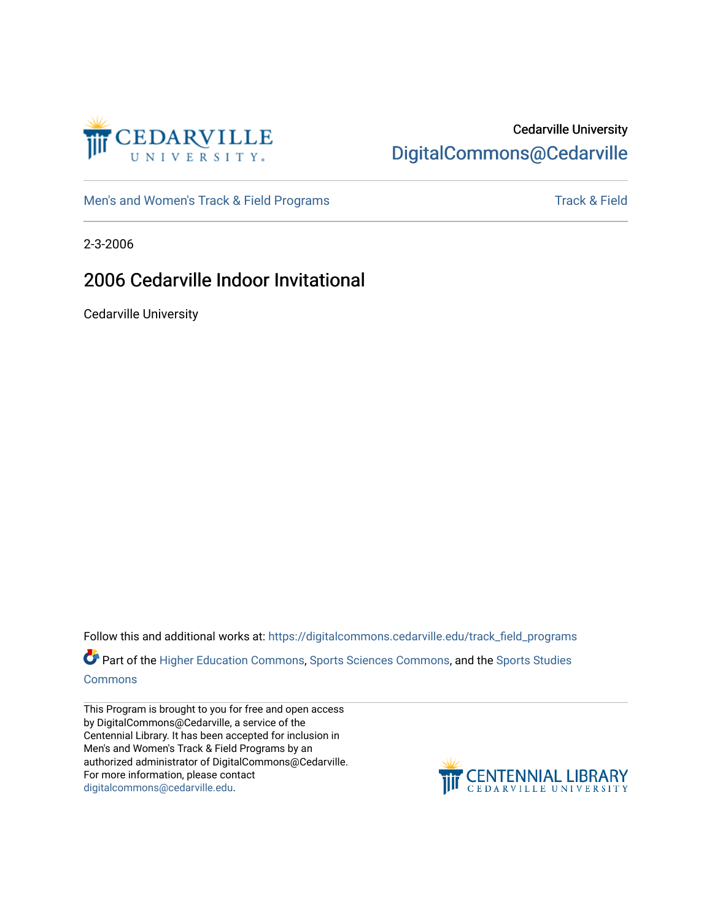

### Cedarville University [DigitalCommons@Cedarville](https://digitalcommons.cedarville.edu/)

[Men's and Women's Track & Field Programs](https://digitalcommons.cedarville.edu/track_field_programs) [Track & Field](https://digitalcommons.cedarville.edu/track_and_field) Structure and Momen's Track & Field

2-3-2006

### 2006 Cedarville Indoor Invitational

Cedarville University

Follow this and additional works at: [https://digitalcommons.cedarville.edu/track\\_field\\_programs](https://digitalcommons.cedarville.edu/track_field_programs?utm_source=digitalcommons.cedarville.edu%2Ftrack_field_programs%2F56&utm_medium=PDF&utm_campaign=PDFCoverPages)  Part of the [Higher Education Commons,](http://network.bepress.com/hgg/discipline/1245?utm_source=digitalcommons.cedarville.edu%2Ftrack_field_programs%2F56&utm_medium=PDF&utm_campaign=PDFCoverPages) [Sports Sciences Commons,](http://network.bepress.com/hgg/discipline/759?utm_source=digitalcommons.cedarville.edu%2Ftrack_field_programs%2F56&utm_medium=PDF&utm_campaign=PDFCoverPages) and the [Sports Studies](http://network.bepress.com/hgg/discipline/1198?utm_source=digitalcommons.cedarville.edu%2Ftrack_field_programs%2F56&utm_medium=PDF&utm_campaign=PDFCoverPages)  **[Commons](http://network.bepress.com/hgg/discipline/1198?utm_source=digitalcommons.cedarville.edu%2Ftrack_field_programs%2F56&utm_medium=PDF&utm_campaign=PDFCoverPages)** 

This Program is brought to you for free and open access by DigitalCommons@Cedarville, a service of the Centennial Library. It has been accepted for inclusion in Men's and Women's Track & Field Programs by an authorized administrator of DigitalCommons@Cedarville. For more information, please contact [digitalcommons@cedarville.edu](mailto:digitalcommons@cedarville.edu).

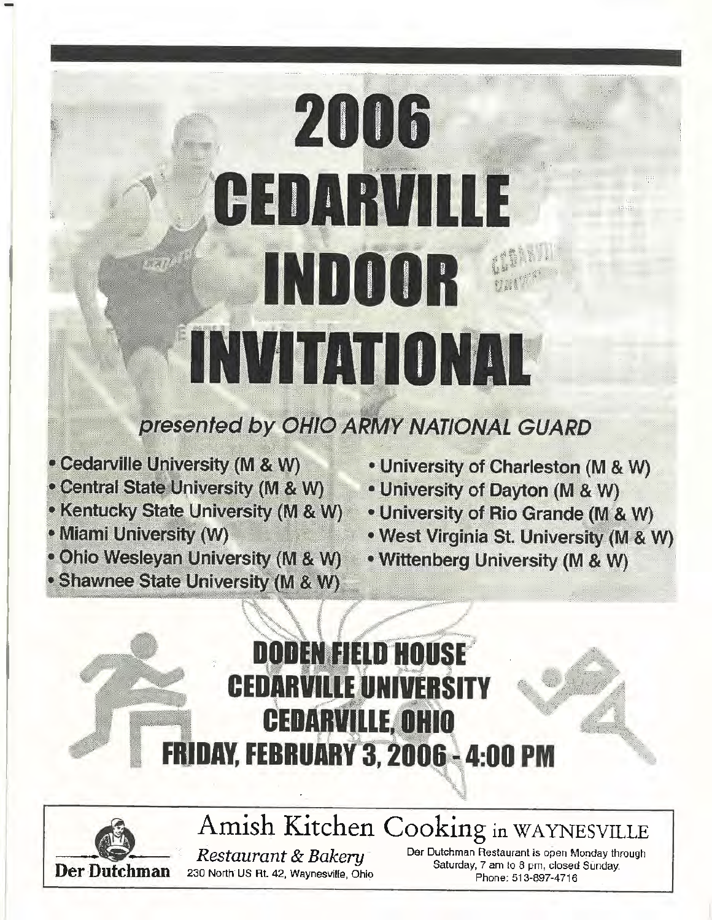# 2006 CEDARVILLE INDOOR INVITATIONAL

### presented by OHIO ARMY NATIONAL GUARD

- Cedarville University (M & W)
- Central State University (M & W)
- Kentucky State University (M & W)
- Miami University (W)
- . Ohio Wesleyan University (M & W)
- Shawnee State University (M & W)
- . University of Charleston (M & W)
- . University of Dayton (M & W)
- University of Rio Grande (M & W)
- . West Virginia St. University (M & W)
- Wittenberg University (M & W)





Amish Kitchen Cooking in WAYNESVILLE Restaurant & Bakery 230 North US Rt. 42, Waynesville, Ohio

Der Dutchman Restaurant is open Monday through Saturday, 7 am to 8 pm, closed Sunday. Phone: 513-897-4716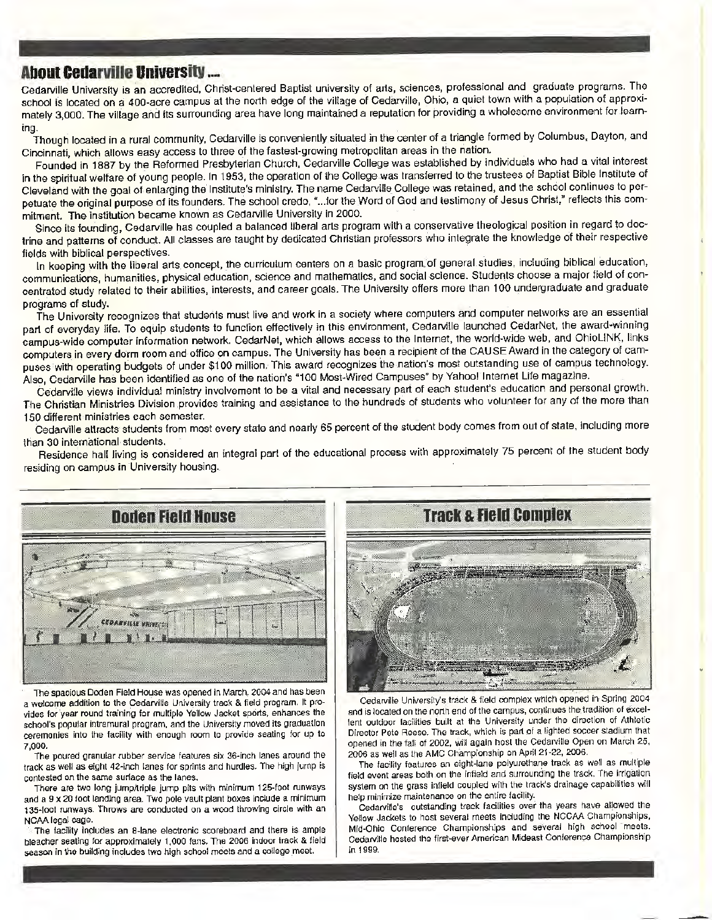**About Cedarville University ....**<br>Cedarville University is an accredited, Christ-centered Baptist university of arts, sciences, professional and graduate programs. The school is located on a 400-acre campus at the north edge of the village of Cedarville, Ohio, a quiet town with a population of approximately 3,000. The village and its surrounding area have long maintained a reputation for providing a wholesome environment for learning.

Though located in a rural community, Cedarville is conveniently situated in the center of a triangle formed by Columbus, Dayton, and Cincinnati, which allows easy access to three of the fastest-growing metropolitan areas in the nation.

Founded in 1887 by the Reformed Presbyterian Church, Cedarville College was established by individuals who had a vital interest in the spiritual welfare of young people. In 1953, the operation of the College was transferred to the trustees of Baptist Bible Institute of Cleveland with the goal of enlarging the Institute's ministry. The name Cedarville College was retained, and the school continues to perpetuate the original purpose of its founders. The school credo, "... for the Word of God and testimony of Jesus Christ," reflects this commitment. The institution became known as Cedarville University in 2000.

Since its founding, Cedarville has coupled a balanced liberal arts program with a conservative theological position in regard to doctrine and patterns of conduct. All classes are taught by dedicated Christian professors who integrate the knowledge of their respective fields with biblical perspectives. ·

In keeping with the liberal arts concept, the curriculum centers on a basic program.of general studies, including biblical education, communications, humanities, physical education, science and mathematics, and social science. Students choose a major field of concentrated study related to their abilities, interests, and career goals. The University offers more than 100 undergraduate and graduate programs of study.

The University recognizes that students must live and work in a society where computers and computer networks are an essential part of everyday life. To equip students to function effectively in this environment, Cedarville launched CedarNet, the award-winning campus-wide computer information network. CedarNet, which allows access to the Internet, the worfd-wide web, and OhioLINK, links computers in every dorm room and office on campus. The University has been a recipient of the CAUSE Award in the category of campuses with operating budgets of under \$100 million. This award recognizes the nation's most outstanding use of campus technology. Also, Cedarville has been identified as one of the nation's "100 Most-Wired Campuses" by Yahoo! Internet Life magazine.

Cedarville views individual ministry involvement to be a vital and necessary part of each student's education and personal growth. The Christian Ministries Division provides training and assistance to the hundreds of students who volunteer for any of the more than 150 different ministries each semester.

Cedarville attracts students from most every state and nearly 65 percent of the student body comes from out of state, including more than 30 international students.

Residence hall living is considered an integral part of the educational process with approximately 75 percent of the student body residing on campus in University housing.



The spacious Doden Field House was opened in March, 2004 and has been a welcome addition to the Cedarville University track & field program. It provides for year round training for multiple Yellow Jacket sports, enhances the school's popular intramural program, and the University moved its graduation ceremonies into the facility with enough room to provide seating for up to 7,000.

The poured granular rubber service features six 36-inch lanes around the track as well as eight 42-inch lanes for sprints and hurdles. The high jump is contested on the same surface as the lanes.

There are two long jump/triple jump pits with minimum 125-foot runways and a 9 x 20 foot landlng area. Two pole vault plant boxes include a minimum 135-foot runways. Throws are conducted on a wood throwing circle with an NCAA legal cage.

The facility includes an 8-lane electronic scoreboard and there is ample bleacher seating for approximately 1,000 fans. The 2006 indoor track & field season in the building includes two high school meets and a college meet.



Cedarville University's track & field oomplex which opened in Spring 2004 and is located on the north end of 1he campus, continues the. tradition of excellent outdoor facilities built at the University under the direction of Athletic Director Pete Reese. The track, which is part *ot* a lighted soccer stadium that opened in the fall of 2002, will again host the Cedarville Open on March 25, 2006 as well as the AMC Championship on Aprll 21·22, 2006.

The facility features an eight-lane polyurethane track as well as multiple field event areas both on the infield and surrounding the track. The irrigation system on the grass infield coupled with the track's drainage capabilities will help minimize maintenance on the entire facility.

Cedarville's outstanding track facilities over the years have allowed the Yellow Jackets to host several meets including the NCCAA Championships, Mid-Ohio Conference Championships and several high school meets. Cedarville hosted the first-ever American Mideast Conference Championship in 1999.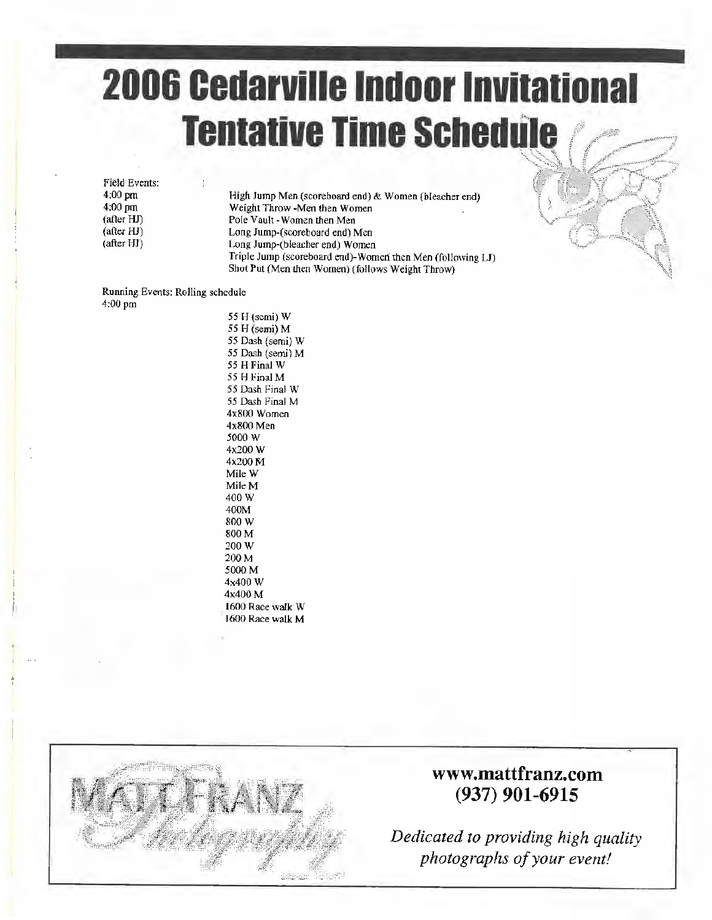## **2006 Cedarville Indoor Invitational Tentative Time Schedule**

Field Events: 4:00 pm 4:00 pm (after HJ) (after HJ) (after HJ)

High Jump Men (scoreboard end) & Women (bleacher end) Weight Throw -Men then Women Pole Vault - Women then Men Long Jump-(scoreboard end) Men Long Jump-(b!eacher end) Women Triple Jump (scoreboard end)-Women then Men (following Ll) Shot Put (Men then Women) (follows Weight Throw)

Running Events: Rolling schedule 4:00 pm

55 H (semi) W *55* H (semi) M 55 Dash (semi) W 55 Dash (semi) M 55 HFinal W *55* H Final M 55 Dash Final W 55 Dash Final M 4x800 Women 4x800 Men 5000W 4x200 W 4x200M Mile W MileM 400W 400M 800W 800M 200W 200M 5000M 4x400W 4x400 M . 1600 Race walk W 1600 Race walk M



### **www.mattfranz.com (937) 901-6915**

: the three fields of the three fields in the three fields in the three fields in the three fields in the three <br>Seconds in the three fields in the three fields in the top of the three fields in the top of the three fields

*Dedicated to providing high quality photographs of your event!*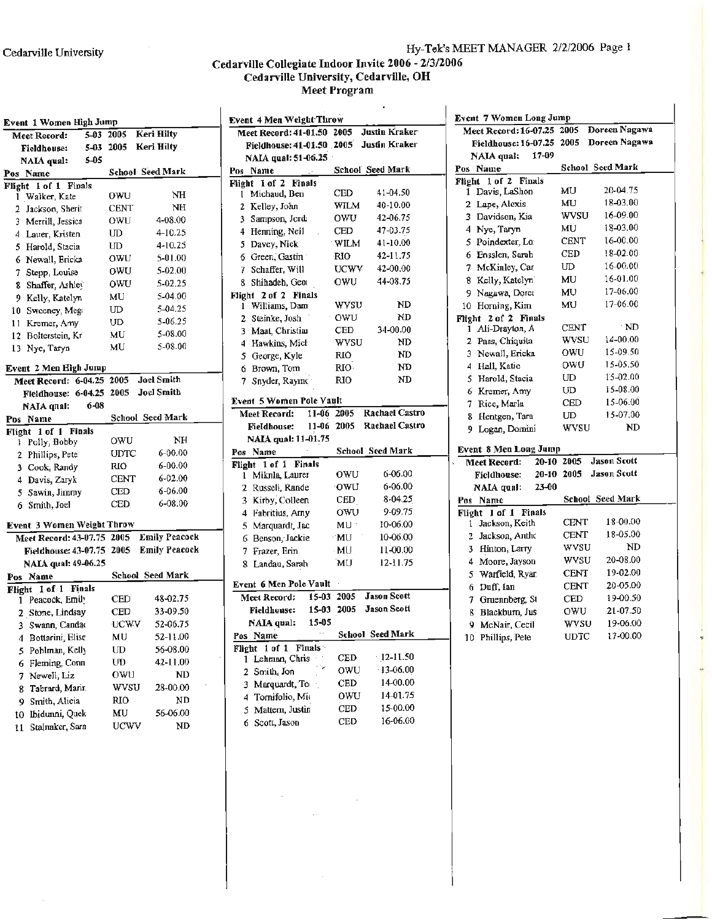$\bar{z}$ 

### Hy-Tek's MEET MANAGER 2/2/2006 Page 1

### Cedarville Collegiate Indoor Invite 2006 - 2/3/2006<br>Cedarville University, Cedarville, OH Meet Program

| Event 1 Women High Jump                  |             |                      | <b>Event 4 Men Weight Throw</b> |             | ٠                       | <b>Event 7 Women Long Jump</b>          |                |                         |
|------------------------------------------|-------------|----------------------|---------------------------------|-------------|-------------------------|-----------------------------------------|----------------|-------------------------|
| Meet Record:                             | 5-03 2005   | <b>Keri Hilty</b>    | Meet Record: 41-01.50 2005      |             | <b>Justin Kraker</b>    | Meet Record: 16-07.25 2005              |                | Doreen Nagawa           |
| <b>Fieldhouse:</b>                       |             | 5-03 2005 Keri Hilty | Fieldhouse: 41-01.50 2005       |             | <b>Justin Kraker</b>    | Fieldhouse: 16-07.25 2005 Doreen Nagawa |                |                         |
| 5-05<br>NAIA qual:                       |             |                      | NAIA qual: 51-06.25             |             |                         | 17-09<br><b>NAIA</b> qual:              |                |                         |
| Pos Name                                 |             | School Seed Mark     | Pos Name                        |             | School Seed Mark        | Pos Name                                |                | School Seed Mark        |
| Flight 1 of 1 Finals                     |             |                      | Flight 1 of 2 Finals            |             |                         | Flight 1 of 2 Finals                    |                |                         |
| 1 Walker, Kate                           | <b>OWU</b>  | NH                   | 1 Michaud, Ben                  | <b>CED</b>  | 41-04.50                | 1 Davis, LaShon                         | MU             | 20-04.75                |
| 2 Jackson, Sherit                        | <b>CENT</b> | NH                   | 2 Kelley, John                  | <b>WILM</b> | 40-10.00                | 2 Lape, Alexis                          | MU             | 18-03.00                |
| 3 Merrill, Jessica                       | OWU         | 4-08.00              | 3 Sampson, Jord:                | owu         | 42-06.75                | 3 Davidson, Kia                         | <b>WVSU</b>    | 16-09.00                |
| 4 Lauer, Kristen                         | UD          | 4-10.25              | 4 Henning, Neil                 | CED         | 47-03.75                | 4 Nye, Taryn                            | MU             | 18-03.00                |
| 5 Harold, Stacia                         | ${\rm UD}$  | 4-10.25              | 5 Davey, Nick                   | WILM        | 41-10.00                | 5 Poindexter, Lo:                       | <b>CENT</b>    | 16-00.00                |
| 6 Newall, Ericka                         | owu         | 5-01.00              | 6 Green, Gastin                 | RIO         | 42-11.75                | Ensslen, Sarah<br>6.                    | CED            | 18-02.00                |
| 7 Stepp, Louise                          | <b>OWU</b>  | 5-02.00              | 7 Schaffer, Will                | <b>UCWV</b> | 42-00.00                | McKinley, Car                           | UD             | 16-00.00                |
| 8 Shaffer, Ashley                        | owu         | 5-02.25              | 8 Shihadeh, Geor                | owu         | 44-08.75                | Kelly, Katelyni<br>8                    | MU             | 16-01.00                |
| 9 Kelly, Katelyn                         | МU          | 5-04.00              | Flight 2 of 2 Finals            |             |                         | 9 Nagawa, Doree                         | MU             | 17-06.00                |
| 10 Sweeney, Meg.                         | UD          | 5-04.25              | 1 Williams, Dam                 | wysu        | ND                      | 10 Horning, Kim                         | МU             | 17-06.00                |
| 11 Kremer, Amy                           | UD          | 5-06.25              | 2 Steinke, Josh                 | OWU         | ND                      | Flight 2 of 2 Finals                    |                |                         |
| 12 Bolterstein, Kr                       | MU          | 5-08.00              | 3 Maat, Christian               | <b>CED</b>  | 34-00.00                | 1 Ali-Drayton, A                        | <b>CENT</b>    | ND                      |
| 13 Nye, Taryn                            | MU          | 5-08.00              | 4 Hawkins, Mich                 | <b>WVSU</b> | ND                      | 2 Pass, Chiquita                        | <b>WVSU</b>    | 14-00.00                |
|                                          |             |                      | 5 George, Kyle                  | <b>RIO</b>  | ND                      | 3 Newall, Ericka                        | OWU            | 15-09.50                |
| Event 2 Men High Jump                    |             |                      | 6 Brown, Tom                    | RIO-        | ND                      | 4 Hall, Katic                           | owu            | 15-05.50                |
| Meet Record: 6-04.25 2005                |             | <b>Joel Smith</b>    | 7 Snyder, Raymo                 | <b>RIO</b>  | ND                      | 5 Harold, Stacia                        | UD             | 15-02.00                |
| Fieldhouse: 6-04.25 2005 Joel Smith      |             |                      |                                 |             |                         | 6 Kremer, Amy                           | UD             | 15-08.00                |
| 6-08<br>NAIA qual:                       |             |                      | Event 5 Women Pole Vault        |             |                         | 7 Rice, Marla                           | <b>CED</b>     | 15-06.00                |
| Pos Name                                 |             | School Secd Mark     | Meet Record:                    | 11-06 2005  | Rachael Castro          | 8 Hentgen, Tara                         | UD             | 15-07.00                |
| Flight 1 of 1 Finals                     |             |                      | <b>Fieldhouse:</b>              | 11-06 2005  | Rachael Castro          | 9 Logan, Domini                         | <b>WVSU</b>    | ND                      |
| 1 Polly, Bobby                           | owu         | NH                   | NAIA qual: 11-01.75             |             |                         |                                         |                |                         |
| 2 Phillips, Pete                         | <b>UDTC</b> | $6 - 00.00$          | Pos Name                        |             | School Seed Mark        | <b>Event 8 Men Long Jump</b>            |                |                         |
| 3 Cook, Randy                            | <b>RIO</b>  | 6-00.00              | Flight 1 of 1 Finals            |             |                         | Meet Record:                            | $20 - 10$ 2005 | <b>Jason Scott</b>      |
| 4 Davis, Zaryk                           | <b>CENT</b> | 6-02.00              | 1 Mikula, Laurer                | OWU         | 6-06.00                 | Fieldhouse:                             | 20-10 2005     | Jason Scott             |
| 5 Sawin, Jimmy                           | CED         | $6 - 06.00$          | 2 Russell, Rande                | owu         | 6-06.00                 | 23-00<br>NAIA qual:                     |                |                         |
| 6 Smith, Joel                            | CED         | 6-08.00              | 3 Kirby, Colleen                | CED         | $8-04.25$               | Pos Name                                |                | <b>School Seed Mark</b> |
|                                          |             |                      | 4 Fabritius, Amy                | OWU         | 9-09.75                 | Flight 1 of 1 Finals                    |                |                         |
| <b>Event 3 Women Weight Throw</b>        |             |                      | 5 Marquardt, Jac                | MU          | 10-06.00                | 1 Jackson, Keith                        | <b>CENT</b>    | 18-00.00                |
| Meet Record: 43-07.75 2005 Emily Peacock |             |                      | 6 Benson, Jackie                | MU          | 10-06.00                | 2 Jackson, Antho                        | <b>CENT</b>    | 18-05.00                |
| Fieldhouse: 43-07.75 2005 Emily Peacock  |             |                      | 7 Frazer, Erin                  | MU          | 11-00.00                | 3 Hinton, Larry                         | wvsu           | ND                      |
| NAIA qual: 49-06.25                      |             |                      | 8 Landau, Sarah                 | MU          | 12-11.75                | 4 Moore, Jayson                         | WVSU           | 20-08.00                |
| Pos Name                                 |             | School Seed Mark     |                                 |             |                         | 5 Warfield, Ryan                        | <b>CENT</b>    | 19-02.00                |
| Flight 1 of 1 Finals                     |             |                      | Event 6 Men Pole Vault          |             | <b>Jason Scott</b>      | 6 Duff, Ian                             | <b>CENT</b>    | 20-05.00                |
| Peacock, Emily<br>1                      | <b>CED</b>  | 48-02.75             | Meet Record:                    | 15-03 2005  |                         | 7 Gruennberg, St                        | <b>CED</b>     | 19-00.50                |
| 2 Stone, Lindsay                         | <b>CED</b>  | 33-09.50             | <b>Fieldhouse:</b>              |             | 15-03 2005 Jason Scott  | 8 Blackburn, Jus                        | OWU            | $21 - 07.50$            |
| 3 Swann, Canda                           | <b>UCWV</b> | 52-06.75             | NAIA qual: 15-05                |             |                         | 9 McNair, Cecil                         | <b>WVSU</b>    | 19-06.00                |
| 4 Bottarini, Elise                       | MU          | 52-11.00             | Pos Name                        |             | <b>School Seed Mark</b> | 10 Phillips, Pete                       | <b>UDTC</b>    | 17-00.00                |
| 5 Pohlman, Kelly                         | UD          | 56-08.00             | Flight 1 of 1 Finals            |             | $-12 - 11.50$           |                                         |                |                         |
| 6 Fleming, Conn                          | UD          | 42-11.00             | 1 Lehman, Chris<br>-72          | <b>CED</b>  |                         |                                         |                |                         |
| 7 Newell, Liz                            | OWU         | ND                   | 2 Smith, Jon                    | OWU         | 13-06.00                |                                         |                |                         |
|                                          | <b>WVSU</b> | 28-00.00             | 3 Marquardt, To                 | <b>CED</b>  | 14-00.00                |                                         |                |                         |
| 8 Tabrard, Marin                         |             | ${\tt ND}$           | 4 Tornifolio, Mic               | OWU         | 14-01.75                |                                         |                |                         |
| 9 Smith, Alicia                          | RIO         |                      |                                 |             |                         |                                         |                |                         |
|                                          | MU          | 56-06.00             | 5 Mattern, Justin               | CED         | 15-00.00                |                                         |                |                         |
| 10 Ibidunni, Quek<br>11 Stalnaker, Sara  | <b>UCWV</b> | ND                   | 6 Scott, Jason                  | CED         | 16-06.00                |                                         |                |                         |

 $\sim$ 

 $\mathcal{L}^{\text{max}}_{\text{max}}$  and  $\mathcal{L}^{\text{max}}_{\text{max}}$  $\langle\phi\phi\rangle_{\rm{max}}$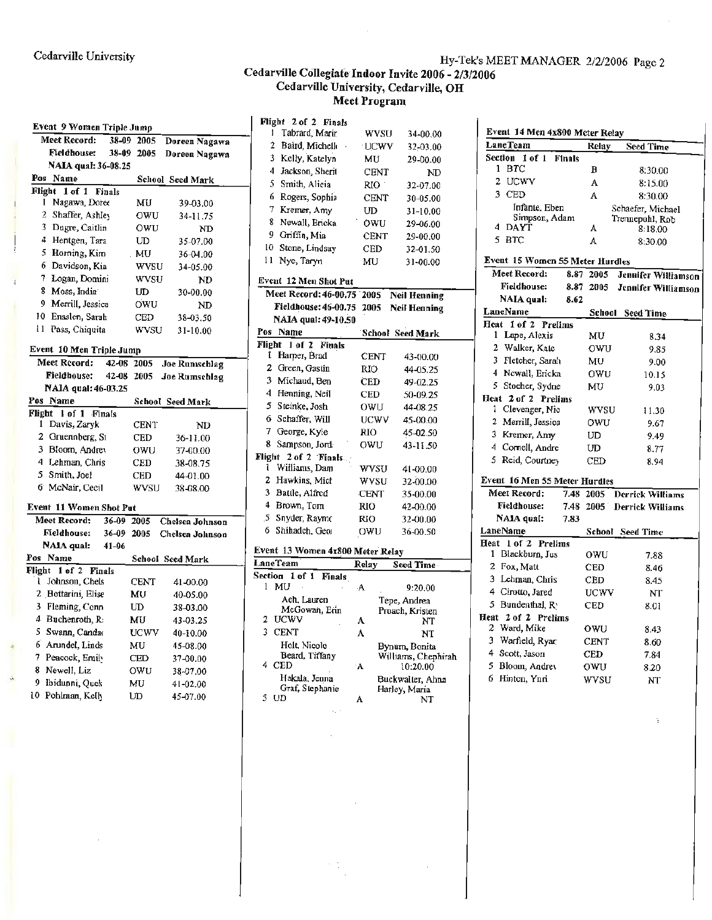#### Hy-Tek's MEET MANAGER 2/2/2006 Page 2

### Cedarville Collegiate Indoor Invite 2006 - 2/3/2006<br>Cedarville University, Cedarville, OH Meet Program

| Event 9 Women Triple Jump                    |           |            |                  |
|----------------------------------------------|-----------|------------|------------------|
| Meet Record:                                 | 38-09     | 2005       | Doreen Nagawa    |
| Fieldhouse:                                  | 38-09     | 2005       | Doreen Nagawa    |
| NAIA qual: 36-08.25                          |           |            |                  |
| Pos Name                                     |           |            | School Seed Mark |
| Flight 1 of 1<br><b>Finals</b>               |           |            |                  |
| Nagawa, Doree<br>1                           |           | MU         | 39-03.00         |
| 2<br>Shaffer, Ashley<br>3                    |           | owu        | 34-11.75         |
| Dugre, Caitlin<br>4                          |           | owu        | ND               |
| Hentgen, Tara<br>5 Homing, Kim               |           | UD         | 35-07.00         |
| 6                                            |           | MU         | 36-04.00         |
| Davidson, Kia<br>7                           |           | wysu       | 34-05.00         |
| Logan, Domini<br>8<br>Moss, India            |           | wysu<br>UD | ND               |
| 9<br>Merrill, Jessica                        |           | OWU        | 30-00.00         |
| 10<br>Ensslen, Sarah                         |           |            | ND               |
| u<br>Pass, Chiquita                          |           | CED        | 38-03.50         |
|                                              |           | wysu       | 31-10.00         |
| Event 10 Men Triple Jump                     |           |            |                  |
| Meet Record:                                 |           | 42-08 2005 | Joe Rumschlag    |
| <b>Fieldhouse:</b>                           | $42 - 08$ | 2005       | Joe Rumschlag    |
| NAIA qual: 46-03.25                          |           |            |                  |
| Pos Name                                     |           |            | School Seed Mark |
| Flight<br>1 of 1 Finals<br>Davis, Zaryk<br>1 |           | CENT       | ND               |
| $\mathbf{2}$<br>Gruennberg, St               |           | CED        | 36-11.00         |
| 3 Bloom, Andrey                              |           | owu        | 37-00.00         |
| 4 Lehman, Chris                              |           | CED        | 38-08.75         |
| 5.<br>Smith, Joel                            |           | CED        | 44-01.00         |
| 6 McNair, Cecil                              |           | wysu       | 38-08.00         |
|                                              |           |            |                  |
| Event 11 Women Shot Put                      |           |            |                  |
| Meet Record:                                 | 36-09     | 2005       | Chelsea Johnson  |
| Fieldhouse:                                  | 36-09     | 2005       | Chelsea Johnson  |
| NAIA qual:<br>Pos<br>Name                    | 41-06     |            |                  |
| Flight<br>1 of 2<br><b>Finals</b>            |           |            | School Seed Mark |
| Johnson, Chels<br>l                          |           | CENT       | 41-00.00         |
| 2 Bottarini, Elise                           |           | MU         | 40-05.00         |
| 3<br>Fleming, Conn                           |           | UD         | 38-03.00         |
| 4 Buchenroth, R:                             |           | MU         | 43-03.25         |
| 5<br>Swann, Candao                           |           | UCWV       | 40-10.00         |
| 6 Arundel, Linds                             |           | MU         | 45-08.00         |
| 7<br>Peacock, Emily                          |           | CED        | 37-00.00         |
| 8<br>Newell, Liz                             |           | OWU        | 38-07.00         |
| 9.<br>Ibidunni, Quek                         |           | MU         | 41-02.00         |
| 10 Pohlman, Kelly                            |           | UD         | 45-07.00         |

| Flight 2 of 2 Finals              |             |                                 |
|-----------------------------------|-------------|---------------------------------|
| I<br>Tabrard, Marir               | <b>WVSU</b> | 34-00.00                        |
| 2<br>Baird, Michell               | UCWV        | 32-03.00                        |
| 3<br>Kelly, Katelyn               | MU          | 29-00.00                        |
| 4 Jackson, Sherit                 | <b>CENT</b> | ND                              |
| 5<br>Smith, Alicia                | RIO         | 32-07.00                        |
| 6<br>Rogers, Sophia               | CENT        | 30-05.00                        |
| 7<br>Kremer, Amy                  | UD          | 31-10.00                        |
| 8<br>Newall, Ericka               | OWU         | 29-06.00                        |
| 9<br>Griffin, Mia                 | <b>CENT</b> | 29-00.00                        |
| 10<br>Stone, Lindsay              | <b>CED</b>  | 32-01.50                        |
| 11<br>Nye, Taryn                  | MU          | 31-00.00                        |
|                                   |             |                                 |
| Event 12 Men Shot Put             |             |                                 |
| Meet Record: 46-00.75             | 2005        | <b>Neil Henning</b>             |
| Fieldhouse: 46-00.75              | 2005        | Neil Henning                    |
| NAIA qual: 49-10.50               |             |                                 |
| Pos Name                          | School      | <b>Seed Mark</b>                |
| Flieht<br>1 of 2<br><b>Finals</b> |             |                                 |
| Harper, Brad<br>Ĩ.                | CENT        | 43-00.00                        |
| 2<br>Green, Gastin                | RIO         | 44-05.25                        |
| 3<br>Michaud, Ben                 | CED         | 49-02.25                        |
| 4<br>Henning, Neil                | CED         | 50-09.25                        |
| 5.<br>Steinke, Josh               | owu         | 44-08.25                        |
| 6<br>Schaffer, Will               | UCWV        | 45-00.00                        |
| 7.<br>George, Kyle                | RIO         | 45-02.50                        |
| 8.<br>Sampson, Jord-              | owu         | 43-11.50                        |
| 2 of 2 Finals.<br>Flight          |             |                                 |
| Williams, Dam<br>L                | wysu        | 41-00.00                        |
| 2 Hawkins, Mich                   | WVSU        | 32-00.00                        |
| 3 Battle, Alfred                  | <b>CENT</b> | 35-00.00                        |
| 4 Brown, Tom                      | RIO         | 42-00.00                        |
| Snyder, Raymo<br>5.               | <b>RIO</b>  | 32-00.00                        |
| Shihadch, Geor<br>6               | owu         | 36-00.50                        |
| Event 13 Women 4x800 Meter Relay  |             |                                 |
| LaneTeam                          | Relay       | Sced Time-                      |
| Section 1 of 1<br>Finals          |             |                                 |
| MU<br>1                           | A.          | 9:20.00                         |
| Ach, Lauren                       |             | Tepe, Andrea                    |
| McGowan, Erin                     |             | Proach, Kristen                 |
| <b>UCWV</b><br>2<br>3             | A           | NT                              |
| <b>CENT</b>                       | A           | NT                              |
| Holt, Nicole<br>Beard, Tiffany    |             | Bynum, Bonita                   |
| 4<br>CED                          | ۰A          | Williams, Chephirah<br>10:20.00 |
| Hakala, Jenna                     |             | Buckwalter, Ahna                |
| Graf, Stephanie                   |             | Harley, Maria                   |
| 5<br>UD                           | A           | NT                              |

 $\epsilon_{\rm{c}}$  .

 $\gamma$  (1)

| Event 14 Men 4x800 Meter Relay     |               |             |                         |
|------------------------------------|---------------|-------------|-------------------------|
| LaneTeam                           |               | Relay       | Seed Time               |
| Section 1 of 1                     | <b>Finals</b> |             |                         |
| <b>BTC</b><br>1                    |               | в           | 8:30.00                 |
| 2 UCWV                             |               | A           | 8:15.00                 |
| 3 CED                              |               | A           | 8:30.00                 |
| Infante, Eben                      |               |             | Schaefer, Michael       |
| Simpson, Adam<br>4.<br><b>DAYT</b> |               |             | Trennepohl, Rob         |
| 5.                                 |               | A           | 8:18.00                 |
| BTC                                |               | A           | 8:30.00                 |
| Event 15 Women 55 Meter Hurdles    |               |             |                         |
| Meet Record:                       | 8.87          | 2005        | Jennifer Williamson     |
| <b>Fieldhouse:</b>                 | 8.87          | 2005        | Jennifer Williamson     |
| NAIA qual:                         | 8.62          |             |                         |
| LaneName                           |               |             | School Seed Time        |
| Heat 1 of 2 Prelims                |               |             |                         |
| 1 Lape, Alexis                     |               | MU          | 8.34                    |
| 2 Walker, Kate                     |               | OWU         | 9.85                    |
| 3 Fletcher, Sarah                  |               | MU          | 9.00                    |
| 4 Newall, Ericka                   |               | 0WU         | 10.15                   |
| 5 Stoeher, Sydne                   |               | МU          | 9.03                    |
| Heat 2 of 2 Prelims                |               |             |                         |
| Clevenger, Nic<br>ı                |               | wysu        | 11.30                   |
| 2 Merrill, Jessica                 |               | OWU         | 9.67                    |
| 3 Kremer, Amy                      |               | UD          | 9.49                    |
| 4 Cornell, Andre                   |               | UD          | 8.77                    |
| 5 Reid, Courtney                   |               | <b>CED</b>  | 8.94                    |
| Event 16 Men 55 Meter Hurdles      |               |             |                         |
| Meet Record:                       |               | 7.48 2005   | <b>Derrick Williams</b> |
| <b>Fieldhouse:</b>                 | 7.48          |             | 2005 Derrick Williams   |
| NAIA qual:                         | 7.83          |             |                         |
| LaneName                           |               | School      | Seed Time               |
| Heat 1 of 2 Prelims                |               |             |                         |
| 1 Blackburn, Jus                   |               | owu         | 7.88                    |
| $\mathbf{2}^{-}$<br>Fox, Matt      |               | CED         | 8.46                    |
| 3 Lehman, Chris                    |               | CED         | 8.45                    |
| 4 Cirotto, Jared                   |               | UCWV        | NT                      |
| 5.<br>Bundenthal, Ry               |               | CED         | 8.01                    |
| Heat 2 of 2 Prelims                |               |             |                         |
| 2 Ward, Mike                       |               | owu         | 8.43                    |
| 3 Warfield, Ryar                   |               | CENT        | 8.60                    |
| 4 Scott, Jason                     |               | CED         | 7.84                    |
| 5.<br>Bloom, Andrey                |               | owu         | 8.20                    |
| 6 Hinton, Ynri                     |               | <b>WVSU</b> | NT                      |
|                                    |               |             |                         |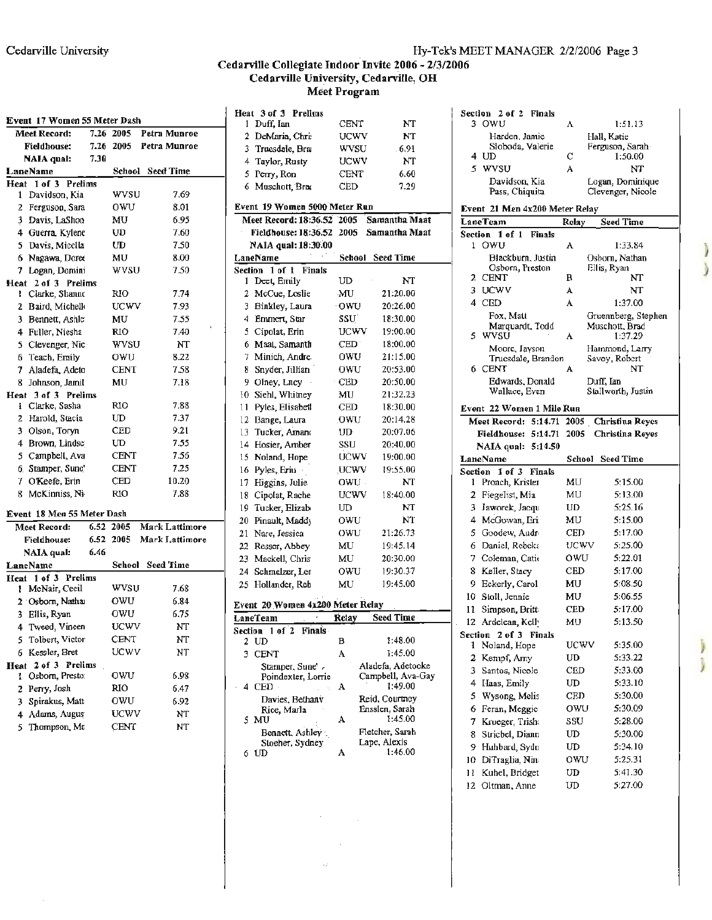#### **Cedarville Collegiate Indoor Invite 2006** - **2/3/2006 Cedarville University, Cedarville, OH Meet Program**

| Event 17 Women 55 Meter Dash |      |             |                     |     | Heat 5 of 5 Prelims<br>1 Duff, Ian | CENT                 |            |
|------------------------------|------|-------------|---------------------|-----|------------------------------------|----------------------|------------|
| <b>Meet Record:</b>          |      | 7.26 2005   | Petra Munroe        |     | 2 DeMaria, Chri-                   | UCWV                 |            |
| <b>Fieldhouse:</b>           |      | 7.26 2005   | <b>Petra Munroe</b> |     | 3 Truesdale, Bra                   |                      |            |
| <b>NAIA</b> qual:            | 7.30 |             |                     |     |                                    | wvsu                 |            |
| LaneName                     |      |             | School Seed Time    |     | 4 Taylor, Rusty                    | UCWV                 |            |
| Heat 1 of 3 Prelims          |      |             |                     |     | 5 Perry, Ron                       | <b>CENT</b><br>CED   |            |
| 1 Davidson, Kia              |      | wysu        | 7.69                |     | 6 Muschott, Brac                   |                      |            |
| 2 Ferguson, Sara             |      | owu         | 8.01                |     | Event 19 Women 5000 Meter Run      |                      |            |
| 3 Davis, LaShon              |      | MU          | 6.95                |     | Meet Record: 18:36.52 2005         |                      | Sam        |
| 4 Guerra, Kylene             |      | UD          | 7.60                |     | Fieldhouse: 18:36.52 2005          |                      | <b>Sam</b> |
| 5 Davis, Micella             |      | UD          | 7.50                |     | NAIA qual: 18:30.00                |                      |            |
| 6 Nagawa, Doree              |      | MU          | 8.00                |     | LaneName                           | School               | See        |
| 7 Logan, Domini              |      | wvsu        | 7.50                |     | Section 1 of 1 Finals              |                      |            |
| Heat 2 of 3 Prelims          |      |             |                     |     | 1 Deet, Emily                      | UD                   |            |
| 1 Clarke, Shanne             |      | RIO         | 7.74                |     | 2 McCue, Loslie                    | MU                   | 2          |
| 2 Baird, Michell             |      | UCWV        | 7.93                |     | 3 Binkley, Laura                   | ∙ow∪                 | 2          |
| 3 Bennett, Ashlo             |      | MU          | 7.55                |     | 4 Emmert, Star                     | SSU                  | 1          |
| 4 Fuller, Niesha             |      | <b>RIO</b>  | 7.40                |     | 5 Cipolat, Erin                    | UCWV                 | 1          |
| 5 Clevenger, Nic-            |      | <b>WVSU</b> | NT                  |     | 6 Maat, Samanth                    | $\mathop{\rm CED^+}$ |            |
| 6 Teach, Emily               |      | owu         | 8.22                |     | 7 Minich, Andre.                   | owu                  | 2          |
| 7 Aladefa, Adeto             |      | CENT        | 7.58                |     | 8 Snyder, Jillian                  | owu                  | 2          |
| 8 Johnson, Jamil             |      | MU          | 7.18                |     | 9 Olney, Lncy                      | ∙ CED                | 2          |
| Heat 3 of 3 Prelims          |      |             |                     |     | 10 Siehl, Whitney                  | MU                   | 2          |
| I Clarke, Sasha              |      | RIO         | 7.88                | 11. | Pyles, Elisabetl                   | CED                  | 1          |
| 2 Harold, Stacia             |      | UD          | 7.37                |     | 12 Bange, Laura                    | .OWU                 | 2          |
| 3 Olson, Toryn               |      | CED         | 9.21                |     | 13 Tucker, Amano                   | UD                   | 2          |
| 4 Brown, Lindse              |      | UD          | 7.55                |     | 14 Hosier, Amber                   | SSU                  | 2          |
| 5 Campbell, Ava              |      | CENT        | 7.56                |     | 15 Noland, Hope                    | UĆWV                 | 1          |
| 6. Stamper, Sune             |      | CENT        | 7.25                |     | 16 Pyles, Eriu                     | <b>UCWV</b>          | l          |
| 7 O'Keefe, Erin              |      | CED         | 10.20               |     | 17 Higgins, Julie                  | OWU -                |            |
| 8 McKinniss, Ni-             |      | RIO         | 7.88                |     | 18 Cipolat, Rache                  | <b>UCWV</b>          | 1          |
|                              |      |             |                     |     | 19 Tucker, Elizab                  | UD                   |            |
| Event 18 Men 55 Meter Dash   |      |             |                     |     | 20 Pinault, Maddy                  | OWU                  |            |
| Meet Record:                 |      | 6.52 2005   | Mark Lattimore      |     | 21 Nare, Jessica                   | OWU                  | 2          |
| <b>Fieldhouse:</b>           |      | 6.52 2005   | Mark Lattimore      |     | 22 Resser, Abbey                   | MU                   | 1          |
| NAIA qual:                   | 6.46 |             |                     |     | 23 Mackell, Chris                  | MU                   | 2          |
| LaneName                     |      |             | School Seed Time    |     | 24 Schmelzer, Let                  | OWU                  |            |
| Heat 1 of 3 Prelims          |      |             |                     |     | 25 Hollander, Reb                  | MU                   | 1          |
| 1 McNair, Cecil              |      | wysu        | 7.68                |     |                                    |                      |            |
| 2 Osborn, Nathai             |      | owu         | 6.84                |     | Event 20 Women 4x200 Meter Relay   |                      |            |
| 3 Ellis, Ryan                |      | owu         | 6.75                |     | LaneTeam                           | Relay                | Seε        |
| 4 Tweed, Vincen              |      | UCWV        | NT                  |     | Section 1 of 2 Finals              |                      |            |
| 5 Tolbert, Victor            |      | CENT        | NT                  |     | 2 UD                               | в                    |            |
| 6 Kessler, Bret              |      | UCWV        | NT                  |     | 3 CENT                             | A                    |            |
| Heat 2 of 3 Prelims          |      |             |                     |     | Stamper, Sune',                    |                      | Aladef     |
| 1 Osborn, Presto:            |      | owu         | 6.98                |     | Poindexter, Lorrie<br>4 CED -      | A                    | Campb      |
| 2 Perry, Josh                |      | RIO         | 6.47                |     | Davies, Bethany                    |                      | Reid, C    |
| Spirakus, Matt<br>3.         |      | OWU         | 6.92                |     | Rice, Marla                        |                      | Ensslei    |
| 4 Adams, Augus               |      | UCWV        | NT                  |     | 5 MU                               | А                    |            |
| 5 Thompson, Ma               |      | CENT        | NT                  |     | Bennett, Ashley                    |                      | Fletche    |

| Event 17 Women 55 Meter Dash           |           |                            |                        |    | Heat 3 of 3 Prelims                     |                    |                                        | Section 2 of 2 Finals                     |                         |                                          |
|----------------------------------------|-----------|----------------------------|------------------------|----|-----------------------------------------|--------------------|----------------------------------------|-------------------------------------------|-------------------------|------------------------------------------|
| Meet Record:                           |           | 7.26 2005                  | Petra Munroe           |    | 1 Duff, Ian                             | CENT               | NT                                     | 3 OWU                                     | A                       | 1:51.13                                  |
| <b>Fieldhouse:</b>                     |           |                            | 7.26 2005 Petra Munroe | 2. | DeMaria, Chri                           | <b>UCWV</b>        | NT                                     | Harden, Jamie<br>Sloboda, Valerie         |                         | Hall, Katie<br>Ferguson, Sarah           |
| <b>NAIA</b> qual:                      | 7.30      |                            |                        | 3. | Truesdale, Brai                         | wysu               | 6.91                                   | 4 UD                                      | C                       | 1:50.00                                  |
| LaneName                               |           |                            | School Seed Time       | 4  | Taylor, Rusty                           | UCWV               | NT                                     | 5 WVSU                                    | А                       | NT                                       |
| Heat 1 of 3 Prelims                    |           |                            |                        |    | 5 Perry, Ron<br>Muschott, Brac          | <b>CENT</b><br>CED | 6.60<br>7.29                           | Davidson, Kia                             |                         | Logan, Dominique                         |
| 1 Davidson, Kia                        |           | wysu                       | 7.69                   | 6. |                                         |                    |                                        | Pass, Chiquita                            |                         | Clevenger, Nicole                        |
| 2 Ferguson, Sara                       |           | OWU                        | 8.01                   |    | Event 19 Women 5000 Meter Run           |                    |                                        | Event 21 Men 4x200 Meter Relay            |                         |                                          |
| 3 Davis, LaShon                        |           | MU                         | 6.95                   |    | Meet Record: 18:36.52 2005              |                    | <b>Samantha Maat</b>                   | LaneTeam                                  | Relay                   | <b>Seed Time</b>                         |
| 4 Guerra, Kylenc                       |           | UD                         | 7.60                   |    | Ficldhouse: 18:36.52 2005 Samantha Maat |                    |                                        | Section 1 of 1 Finals                     |                         |                                          |
| 5 Davis, Micella                       |           | UD                         | 7.50                   |    | NAIA qual: 18:30.00                     |                    |                                        | 1 OWU                                     | A                       | 1:33.84                                  |
| 6 Nagawa, Dorex                        |           | MU                         | 8.00                   |    | LaneName                                |                    | School Seed Time                       | Blackburn, Justin                         |                         | Osborn, Nathan                           |
| 7 Logan, Domini                        |           | WVSU                       | 7.50                   |    | Section 1 of 1 Finals                   |                    |                                        | Osborn, Preston                           |                         | Ellis, Ryan                              |
| Heat 2 of 3 Prelims                    |           |                            |                        |    | 1 Deet, Emily                           | UD                 | NT                                     | 2 CENT                                    | в                       | NT                                       |
| 1 Clarke, Shanne                       |           | <b>RIO</b>                 | 7.74                   |    | 2 McCue, Loslie                         | MU                 | 21:20.00                               | <b>UCWV</b><br>3                          | A                       | $\bf NT$                                 |
| 2 Baird, Michell                       |           | <b>UCWV</b>                | 7.93                   |    | 3 Binkley, Laura                        | owu                | 20:26.00                               | $\mathop{\rm CED}\nolimits$<br>4          | A                       | 1:37.00                                  |
| 3 Bennett, Ashle                       |           | MU                         | 7.55                   | 4  | Emmert, Star                            | SSU <sup>-</sup>   | 18:30.00                               | Fox. Matt<br>Marquardt, Todd              |                         | Gruennberg, Stephen<br>Muschott, Brad    |
| 4 Fuller, Niesha                       |           | <b>RIO</b>                 | 7.40                   | 5. | Cipolat, Erin                           | <b>UCWV</b>        | 19:00.00                               | 5 WVSU                                    | A                       | 1:37.29                                  |
| 5 Clevenger, Nic-                      |           | <b>WVSU</b>                | NT                     | 6  | Maat, Samanth                           | CED                | 18:00.00                               | Moore, Jayson                             |                         | Hammond, Larry                           |
| 6 Teach, Emily                         |           | owu                        | 8.22                   |    | 7 Minich, Andre.                        | owu                | 21:15.00                               | Truesdale, Brandon                        |                         | Savoy, Robert                            |
| 7 Aladefa, Adeto                       |           | <b>CENT</b>                | 7.58                   | 8  | Snyder, Jillian                         | OWU                | 20:53.00                               | 6 CENT                                    | A                       | NΤ                                       |
| 8 Johnson, Jamil                       |           | MU                         | 7.18                   |    | 9 Olney, Lncy                           | <b>CED</b>         | 20:50.00                               | Edwards, Donald                           |                         | Duff, Ian                                |
| Heat 3 of 3 Prelims                    |           |                            |                        |    | 10 Siehl, Whitney                       | MU                 | 21:32.23                               | Wallace, Evan                             |                         | Stallworth, Justin                       |
| 1 Clarke, Sasha                        |           | RIO                        | 7.88                   |    | 11 Pyles, Elisabeth                     | <b>CED</b>         | 18:30.00                               | Event 22 Women 1 Mile Run                 |                         |                                          |
| 2 Harold, Stacia                       |           | UD                         | 7.37                   |    | 12 Bange, Laura                         | OWU                | 20:14.28                               | Meet Record: 5:14.71 2005 Christina Reyes |                         |                                          |
| 3 Olson, Toryn                         |           | <b>CED</b>                 | 9.21                   |    | 13 Tucker, Amano                        | UD                 | 20:07.06                               |                                           |                         | Fieldhouse: 5:14.71 2005 Christina Reves |
| 4 Brown, Lindse                        |           | UD                         | 7.55                   |    | 14 Hosier, Amber                        | SSU                | 20:40.00                               | NAIA qual: 5:14.50                        |                         |                                          |
| 5 Campbell, Ava                        |           | <b>CENT</b>                | 7.56                   |    | 15 Noland, Hope                         | <b>UCWV</b>        | 19:00.00                               | LaneName                                  |                         | School Seed Time                         |
| 6. Stamper, Sune                       |           | <b>CENT</b>                | 7.25                   |    | 16 Pyles, Eriu                          | <b>UCWV</b>        | 19:55.00                               | Section 1 of 3 Finals                     |                         |                                          |
| 7 O'Keefe, Erin                        |           | <b>CED</b>                 | 10.20                  |    | 17 Higgins, Julie                       | OWU -              | NT                                     | 1 Proach, Krister                         | MU                      | 5:15.00                                  |
| 8 McKinniss, Ni-                       |           | <b>RIO</b>                 | 7.88                   |    | 18 Cipolat, Rache                       | <b>UCWV</b>        | 18:40.00                               | 2 Fiegelist, Mia                          | MU                      | 5:13.00                                  |
| Event 18 Men 55 Meter Dash             |           |                            |                        |    | 19 Tucker, Elizab                       | ${\rm UD}$         | NT                                     | Jaworek, Jacqu<br>3.                      | UD                      | 5:25.16                                  |
| Meet Record:                           | 6.52      | 2005                       | <b>Mark Lattimore</b>  |    | 20 Pinault, Maddy                       | OWU                | <b>NT</b>                              | McGowan, Eri<br>4                         | MU                      | 5:15.00                                  |
| Fieldhouse:                            | 6.52 2005 |                            | Mark Lattimore         |    | 21 Nare, Jessica                        | OWU                | 21:26.73                               | Goodew, Audr<br>5.                        | <b>CED</b>              | 5:17.00                                  |
|                                        | 6.46      |                            |                        |    | 22 Resser, Abbey                        | MU                 | 19:45.14                               | Daniel, Rebeka<br>6                       | UCWV                    | 5:25.00                                  |
| NAIA qual:                             |           |                            | School Seed Time       |    | 23 Mackell, Chris                       | MU                 | 20:30.00                               | 7 Coleman, Catio                          | OWU                     | 5:22.01                                  |
| LaneName                               |           |                            |                        |    | 24 Schmelzer, Lee                       | OWU                | 19:30.37                               | 8 Keller, Stacy                           | $\mathop{\mathrm{CED}}$ | 5:17.00                                  |
| Heat 1 of 3 Prelims<br>1 McNair, Cecil |           | wysu                       | 7.68                   |    | 25 Hollander, Reb                       | MU                 | 19:45.00                               | Eckerly, Carol<br>9.                      | MU                      | 5:08.50                                  |
| 2 Osborn, Nathai                       |           | OWU                        | 6.84                   |    |                                         |                    |                                        | Stoll, Jennie<br>10.                      | MU                      | 5:06.55                                  |
| 3 Ellis, Ryan                          |           | OWU                        | 6.75                   |    | Event 20 Women 4x200 Meter Relay        |                    |                                        | 11 Simpson, Britt                         | <b>CED</b>              | 5:17.00                                  |
|                                        |           |                            |                        |    | LaneTeam                                | Relay              | <b>Seed Time</b>                       | 12 Ardelean, Kelly                        | MU                      | 5:13.50                                  |
| 4 Tweed, Vincen<br>5 Tolbert, Victor   |           | <b>UCWV</b><br><b>CENT</b> | NT<br>NT               |    | Section 1 of 2 Finals                   |                    |                                        | Section 2 of 3 Finals                     |                         |                                          |
| 6 Kessler, Bret                        |           | UCWV                       | NT                     |    | 2 UD                                    | в                  | 1:48.00<br>1:45.00                     | 1 Noland, Hope                            | <b>UCWV</b>             | 5:35.00                                  |
| Heat 2 of 3 Prelims                    |           |                            |                        |    | 3 CENT                                  | A                  |                                        | 2 Kempf, Amy                              | UD                      | 5:33.22                                  |
| 1 Osborn, Presto:                      |           | owu                        | 6.98                   |    | Stamper, Sune',<br>Poindexter, Lorrie   |                    | Aladefa, Adetooke<br>Campbell, Ava-Gay | Santos, Nicole<br>3.                      | CED                     | 5:33.00                                  |
| 2 Perry, Josh                          |           | RIO                        | 6.47                   |    | 4 CED                                   | $\sim$ A           | 1:49.00                                | Haas, Emily<br>4.                         | UD                      | 5:33.10                                  |
| 3 Spirakus, Matt                       |           | OWU                        | 6.92                   |    | Davies, Bethany                         |                    | Reid, Courtney                         | 5 Wysong, Melis                           | CED                     | 5:30.00                                  |
| 4 Adams, Augus                         |           | <b>UCWV</b>                | NT                     |    | Rice, Marla                             |                    | Ensslen, Sarah                         | 6 Feran, Meggie                           | OWU                     | 5:30.09                                  |
| 5 Thompson, Ma                         |           | <b>CENT</b>                | NT                     |    | 5 MU                                    | A                  | 1:45.00                                | Krueger, Trish:<br>7.                     | SSU                     | 5:28.00                                  |
|                                        |           |                            |                        |    | Bennett, Ashley                         |                    | Fletcher, Sarah                        | Stricbel, Diann<br>8                      | UD                      | 5:30.00                                  |
|                                        |           |                            |                        |    | Stoeher, Sydney                         |                    | Lape, Alexis                           | 9 Hubbard, Sydn                           | UD                      | 5:34.10                                  |
|                                        |           |                            |                        |    | 6 UD                                    | A                  | 1:46.00                                | 10 DiTraglia, Nin-                        | OWU                     | 5:25.31                                  |
|                                        |           |                            |                        |    |                                         |                    |                                        | $U$ Kubel Bridget                         | HD.                     | 5:41.30                                  |

 $\hat{\mathcal{A}}$ 

| Section | 2 of 2<br>Finals                    |        |                                 |
|---------|-------------------------------------|--------|---------------------------------|
|         | 3 OWU                               | л      | 1:51.13                         |
|         | Harden, Jamie                       |        | Hall, Katie                     |
|         | Sloboda, Valerie                    |        | Ferguson, Sarah                 |
| 4       | UD                                  | С      | 1:50.00                         |
| 5       | wysu                                | А      | NT                              |
|         | Davidson, Kia                       |        | Logan, Dominique                |
|         | Pass, Chiquita                      |        | Clevenger, Nicole               |
|         | Event 21 Men 4x200 Meter Relay      |        |                                 |
|         | LaneTeam                            | Relay  | <b>Seed Time</b>                |
|         | Section 1 of 1<br><b>Finals</b>     |        |                                 |
| ı.      | OWU                                 | A      | 1:33.84                         |
|         | Blackburn, Justin                   |        | Osborn, Nathan                  |
|         | Osborn, Preston                     |        | Ellis, Ryan                     |
| 2       | <b>CENT</b>                         | в      | NT                              |
| 3       | <b>UCWV</b>                         | A      | NT                              |
| 4       | <b>CED</b>                          | A      | 1:37.00                         |
|         | Fox. Matt                           |        | Gruennberg, Stephen             |
| 5       | Marquardt, Todd<br>wysu             | A      | Muschott, Brad<br>1:37.29       |
|         |                                     |        |                                 |
|         | Moore, Jayson<br>Truesdale, Brandon |        | Hammond, Larry<br>Savoy, Robert |
| 6       | CENT                                | A      | NT                              |
|         | Edwards, Donald                     |        | Duff, Ian                       |
|         | Wallace, Evan                       |        | Stallworth, Justin              |
|         | Event 22 Women 1 Mile Run           |        |                                 |
|         | Meet Record: 5:14.71                | 2005   | <b>Christina Reyes</b>          |
|         | 5:14.71<br><b>Fieldhouse:</b>       | 2005   | Christina Reyes                 |
|         |                                     |        |                                 |
|         |                                     |        |                                 |
|         | NAIA qual: 5:14.50                  |        |                                 |
|         | LaneName                            | School | Seed Time                       |
|         | Section 1 of 3 Finals               |        |                                 |
| 1       | Proach, Krister                     | MU     | 5:15.00                         |
| 2       | Fiegelist, Mia                      | MU     | 5:13.00                         |
| 3.      | Jaworek, Jacqu                      | UD     | 5:25.16                         |
|         | 4 McGowan, Eri                      | MU     | 5:15.00                         |
| 5       | Goodew, Audr                        | CED    | 5:17.00                         |
| 6.      | Daniel, Rebeka                      | UCWV   | 5:25.00                         |
| 7.      | Coleman, Catio                      | owu    | 5:22.01                         |
| 8       | Keller, Stacy                       | CED    | 5:17.00                         |
| 9       | Eckerly, Carol                      | MU     | 5:08.50                         |
|         | 10 Stoll, Jennie                    | MU     | 5:06.55                         |
| 11      | Simpson, Britt:                     | CED    | 5:17.00                         |
| 12      | Ardelean, Kelly                     | MU     | 5:13.50                         |
| Section | 2 of 3<br><b>Finals</b>             |        |                                 |
| ı       | Noland, Hope                        | UCWV   | 5:35.00                         |
| 2       | Kempf, Amy                          | UD     | 5:33.22                         |
| 3       | Santos, Nicole                      | CED    | 5:33.00                         |
| 4       | Haas, Emily                         | UD     | 5:33.10                         |
| 5       | Wysong, Melis                       | CED    | 5:30.00                         |
| 6       | Feran, Meggie                       | OWU    | 5:30.09                         |
| 7       | Krueger, Trish:                     | SSU    | 5:28.00                         |
| 8       | Striebel, Diann                     | UD     | 5:30.00                         |
| 9       | Huhbard, Sydn                       | UD     | 5:34.10                         |
| 10      | DiTraglia, Nin                      | owu    | 5:25.31                         |
| Н       | Kuhel, Bridget                      | UD     | 5:41.30                         |
| 12      | Oltman, Anne                        | UD     | 5:27.00                         |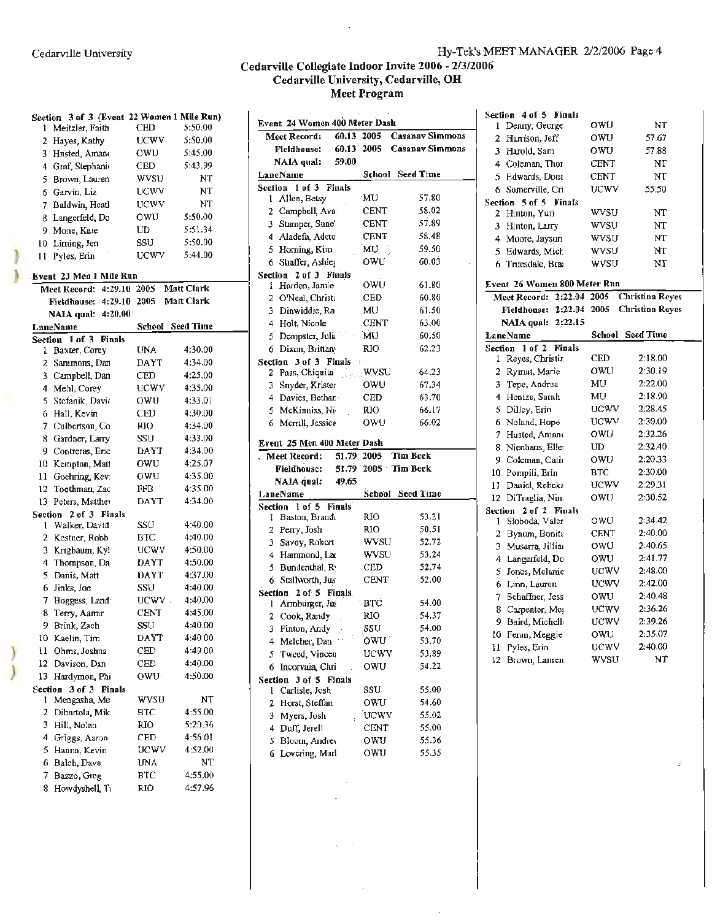#### Cedarville Collegiate Indoor Invite 2006 - 2/3/2006 Cedarville University, Cedarville, **OH Meet Program**

| Section 3 of 3 (Event 22 Women 1 Mile Run) |             |                         | Event 24 Women 400 Meter Dash                                 |       |
|--------------------------------------------|-------------|-------------------------|---------------------------------------------------------------|-------|
| 1 Meitzler, Faith                          | CED         | 5:50.00                 | <b>Casanav Sim</b><br>60.13 2005<br>Meet Record:              |       |
| 2 Hayes, Kathy                             | <b>UCWV</b> | 5:50.00                 | <b>Casanav Sim</b><br>60.13 2005<br><b>Fieldhouse:</b>        |       |
| 3 Hnsted, Amano                            | owu         | 5:45.00                 | NAIA qual:<br>59.00                                           |       |
| 4 Graf, Stephanic                          | CED.        | 5:43.99                 | School Seed Time<br>LaneName                                  |       |
| 5 Brown, Lauren                            | wvsu        | NT                      | Section 1 of 3 Finals                                         |       |
| 6 Garvin, Liz                              | UCWV        | NΤ                      | MU<br>1 Allen, Betsy                                          | 57.80 |
| 7 Baldwin, Heatl                           | UCWV        | NT                      | CENT<br>2 Campbell, Ava.                                      | 58.02 |
| 8 Langerfeld, Do                           | owu         | 5:50.00                 | 3 Stamper, Sune'<br><b>CENT</b>                               | 57.89 |
| 9 Mone, Kate                               | UD          | 5:51.34                 | 4 Aladefa, Adeto<br>CENT                                      | 58.48 |
| 10 Liming, Jen                             | SSU         | 5:50.00                 | 5 Horning, Kim<br>MU                                          | 59.50 |
| 11 Pyles, Erin                             | <b>UCWV</b> | 5:44.00                 | 6 Shaffer, Ashley<br>owu                                      | 60.03 |
| Event 23 Men 1 Mile Run                    |             |                         | Section 2 of 3 Finals                                         |       |
| Meet Record: 4:29.10 2005                  |             | Matt Clark              | owu<br>1 Harden, Jamie                                        | 61.80 |
| Fieldhouse: 4:29.10 2005                   |             | Matt Clark              | 2 O'Neal, Christi<br>CED                                      | 60.80 |
| NAIA qual: 4:20.00                         |             |                         | Dinwiddie, Ra<br>MU<br>3.                                     | 61.50 |
| LaneName                                   |             | <b>School</b> Seed Time | 4 Holt, Nicole<br>CENT                                        | 63.00 |
| Section 1 of 3 Finals                      |             |                         | MU<br>Dempster, Julia<br>5.                                   | 60.50 |
| 1 Baxter, Corey                            | UNA         | 4:30.00                 | 6 Dixon, Brittan<br>RIO                                       | 62.23 |
| 2 Sammons, Dan                             | DAYT        | 4:34.00                 | Section 3 of 3 Finals<br>n,                                   |       |
| 3 Campbell, Dan                            | CED         | 4:25.00                 | wysu<br>2 Pass, Chiquita                                      | 64.23 |
| 4 Mehl, Corey                              | UCWV        | 4:35.00                 | owu<br>Snyder, Krister<br>3.                                  | 67.34 |
| 5 Stefanik, David                          | owu         | 4:33.01                 | CED<br>4 Davies, Bethan                                       | 63.70 |
| 6 Hall. Kevin                              | CED         | 4:30.00                 | <b>RIO</b><br>5 McKinniss, Ni-                                | 66.17 |
| 7 Culbertson, Co.                          | <b>RIO</b>  | 4:34.00                 | 6 Merrill, Jessica<br>owu                                     | 66.02 |
| 8 Gardner, Larry                           | SSU         | 4:33.00                 | Event 25 Men 400 Meter Dash                                   |       |
| 9 Contreras, Eric                          | DAYT        | 4:34.00                 | Meet Record:<br>51.79 2005<br><b>Tim Beck</b>                 |       |
| 10 Kempton, Matt                           | owu         | 4:25.07                 | 51.79 2005 Tim Beck<br>Fieldhouse:                            |       |
| 11 Goehring, Kev.                          | owu         | 4:35.00                 | 49.65<br>NAIA qual:                                           |       |
| 12 Toothman, Zac                           | FFB         | 4:35.00                 | LaneName<br>School Seed Time                                  |       |
| 13 Peters, Matthev                         | DAYT        | 4:34.00                 | Section 1 of 5 Finals                                         |       |
| Section 2 of 3 Finals<br>1 Walker, David   | SSU         | 4:40.00                 | RЮ<br>1 Baston, Brandt                                        | 53.21 |
| 2 Kestner, Robb                            | ВTC         | 4:40.00                 | 2 Perry, Josh<br>RIO                                          | 50.51 |
| 3 Krigbaum, Kyl                            | UCWV        | 4:50.00                 | 3 Savoy, Robert<br><b>WVSU</b>                                | 52.72 |
| 4 Thompson, Da                             | DAYT        | 4:50.00                 | 4 Hammond, Lar<br><b>WVSU</b>                                 | 53.24 |
| 5 Danis, Matt                              | <b>DAYT</b> | 4:37.00                 | Bundenthal, R.<br>CED<br>5.                                   | 52.74 |
| 6 Jinks, Joe                               | SSU         | 4:40.00                 | <b>CENT</b><br>6 Stallworth, Jus                              | 52.00 |
| 7 Boggess, Land:                           | $UCWV$ .    | 4:40.00                 | Section 2 of 5 Finals.                                        | 54.00 |
| 8 Terry, Aamir                             | CENT        | 4:45.00                 | <b>BTC</b><br>1 Armburger, Jas<br>$_{\rm RIO}$<br>Cook, Randy | 54.37 |
| 9 Brink, Zach                              | SSU         | 4:40.00                 | $\overline{2}$<br>SSU<br>3 Finton, Andy                       | 54.00 |
| 10 Kaelin, Tim                             | DAYT        | 4:40.00                 | OWU <sup>1</sup><br>4 Melcher, Dan                            | 53.70 |
| 11 Ohms, Joshna                            | CED         | 4:49.00                 | 5 Tweed, Vincen<br><b>UCWV</b>                                | 53.89 |
| 12 Davison, Dan                            | CED         | 4:40.00                 | 6 Incorvaia, Chri<br>OWU                                      | 54.22 |
| 13 Hardymon, Phi                           | OWU         | 4:50.00                 | Section 3 of 5 Finals                                         |       |
| Section 3 of 3 Finals                      |             |                         | SSU<br>1 Carlisle, Josh                                       | 55.00 |
| 1 Mengasha, Me                             | <b>WVSU</b> | NT                      | 2 Horst, Steffan<br>OWU                                       | 54.60 |
| 2 Dibartola, Mik                           | втс         | 4:55.00                 | Myers, Josh<br><b>UCWV</b><br>3.                              | 55.02 |
| 3 Hill, Nolan                              | <b>RIO</b>  | 5:20.36                 | 4 Duff, Jerell<br><b>CENT</b>                                 | 55.00 |
| 4 Griggs, Aaron                            | CED         | 4:56.01                 | 5 Bloom, Andrey<br>OWU                                        | 55.36 |
| 5 Hanna, Kevin                             | UCWV        | 4:52.00                 | 6 Lovering, Marl<br>OWU                                       | 55.35 |
| 6 Balch, Dave                              | UNA         | NT                      |                                                               |       |
| Bazzo, Greg<br>7                           | <b>BTC</b>  | 4:55.00                 |                                                               |       |
| 8 Howdyshell, Ti                           | RIO.        | 4:57.96                 |                                                               |       |
|                                            |             |                         |                                                               |       |

 $\sim$ 

| Section 3 of 3 (Event 22 Women 1 Mile Run) |                  |                         |                                                          |                            | эссион чого глина                         |             |                  |
|--------------------------------------------|------------------|-------------------------|----------------------------------------------------------|----------------------------|-------------------------------------------|-------------|------------------|
| 1 Meitzler, Faith                          | CED              | 5:50.00                 | Event 24 Women 400 Meter Dash                            |                            | 1 Denny, George                           | OWU         | NT               |
| 2 Hayes, Kathy                             | <b>UCWV</b>      | 5:50.00                 | 60.13 2005<br>Meet Record:                               | <b>Casanav Simmons</b>     | 2 Harrison, Jeff                          | OWU         | 57.67            |
| 3 Hnsted, Amano                            | OWU              | 5:45.00                 | <b>Fieldhouse:</b>                                       | 60.13 2005 Casanav Simmons | 3 Harold, Sam                             | OWU         | 57.88            |
| 4 Graf, Stephanic                          | CED              | 5:43.99                 | 59.00<br>NAIA qual:                                      |                            | 4 Coleman, Thor                           | <b>CENT</b> | NT               |
| 5 Brown, Lauren                            | wvsu             | NT                      | LaneName                                                 | <b>School</b> Seed Time    | 5 Edwards, Dona                           | <b>CENT</b> | NT               |
| Garvin, Liz<br>6.                          | <b>UCWV</b>      | NT                      | Section 1 of 3 Finals                                    |                            | 6 Somerville, Cri                         | <b>UCWV</b> | 55.50            |
| 7 Baldwin, Heatl                           | UCWV             | NT                      | MU<br>1 Allen, Betsy                                     | 57.80                      | Section 5 of 5 Finals                     |             |                  |
| 8 Langerfeld, Do                           | owu              | 5:50.00                 | <b>CENT</b><br>2 Campbell, Ava.                          | 58.02                      | 2 Hinton, Yuri                            | wysu        | NT               |
| 9 Mone, Kate                               | UD               | 5:51.34                 | <b>CENT</b><br>3 Stamper, Sune'                          | 57.89                      | 3 Hinton, Larry                           | wysu        | NT               |
| 10 Liming, Jen                             | SSU              | 5:50.00                 | <b>CENT</b><br>4 Aladefa, Adeto                          | 58.48                      | 4 Moore, Jayson                           | wysu        | NT               |
| 11 Pyles, Erin                             | UCWV             | 5:44.00                 | 5 Horning, Kim<br>MU                                     | 59.50                      | 5 Edwards, Mich                           | wysu        | <b>NT</b>        |
|                                            |                  |                         | 6 Shaffer, Ashley<br>owu                                 | 60.03                      | 6 Truesdale, Brai                         | <b>WVSU</b> | NT               |
| Event 23 Men 1 Mile Run                    |                  |                         | Section 2 of 3 Finals                                    |                            |                                           |             |                  |
| Meet Record: 4:29.10 2005                  |                  | Matt Clark              | OWU<br>1 Harden, Jamie                                   | 61.80                      | Event 26 Women 800 Meter Run              |             |                  |
| Fieldhouse: 4:29.10 2005 Matt Clark        |                  |                         | CED<br>2 O'Neal, Christi                                 | 60.80                      | Meet Record: 2:22.04 2005 Christina Reyes |             |                  |
| NAIA qual: 4:20.00                         |                  |                         | MU<br>3 Dinwiddie, Ra                                    | 61.50                      | Fieldhouse: 2:22.04 2005 Christina Reyes  |             |                  |
| LaneName                                   |                  | <b>School</b> Seed Time | CENT<br>4 Holt, Nicole                                   | 63.00                      | NAIA qual: 2:22.15                        |             |                  |
| Section 1 of 3 Finals                      |                  |                         | MU<br>5 Dempster, Julia                                  | 60.50                      | LaneName                                  |             | School Seed Time |
| 1 Baxter, Corey                            | <b>UNA</b>       | 4:30.00                 | <b>RIO</b><br>6 Dixon, Brittan                           | 62.23                      | Section 1 of 2 Finals                     |             |                  |
| 2 Sammons, Dan                             | DAYT             | 4:34.00                 | Section 3 of 3 Finals                                    |                            | 1 Reyes, Christin                         | <b>CED</b>  | 2:18.00          |
| 3 Campbell, Dan                            | CED              | 4:25.00                 | . WVSU<br>2 Pass, Chiquita                               | 64.23                      | 2 Rymut, Marie                            | OWU         | 2:30.19          |
| 4 Mehl, Corey                              | <b>UCWV</b>      | 4:35.00                 | owu<br>3 Snyder, Krister                                 | 67.34                      | 3 Tepe, Andrea                            | MU          | 2:22.00          |
| 5 Stefanik, Davic                          | OWU              | 4:33.01                 | <b>CED</b><br>4 Davies, Bethar.                          | 63.70                      | 4 Henize, Sarah                           | MU.         | 2:18.90          |
| 6 Hall, Kevin                              | CED              | 4:30.00                 | 5 McKinniss, Ni-<br><b>RIO</b>                           | 66.17                      | 5 Dilley, Erin                            | <b>UCWV</b> | 2:28.45          |
| 7 Culbertson, Co                           | <b>RIO</b>       | 4:34.00                 | 6 Merrill, Jessica<br>owu                                | 66.02                      | 6 Noland, Hope                            | <b>UCWV</b> | 2:30.00          |
| 8 Gardner, Larry                           | SSU              | 4:33.00                 |                                                          |                            | 7 Husted, Amano                           | owu         | 2:32.26          |
| 9 Contreras, Eric                          | DAYT             | 4:34.00                 | Event 25 Men 400 Meter Dash                              |                            | 8 Nienhaus, Eller                         | UD          | 2:32.40          |
| 10 Kempton, Matt                           | OWU              | 4:25.07                 | Meet Record:<br>51.79 2005                               | Tim Beck                   | 9 Coleman, Catit                          | OWU         | 2:20.33          |
| 11 Goehring, Kev.                          | OWU              | 4:35.00                 | 51.79 2005 Tim Beck<br>Fieldhouse:                       |                            | 10 Pompili, Erin                          | <b>BTC</b>  | 2:30.00          |
| 12 Toothman, Zac                           | ${\rm FFB}^{-1}$ | 4:35.00                 | 49.65<br>NAIA qual:                                      |                            | 11 Daniel, Rebeka                         | <b>UCWV</b> | 2:29.31          |
| 13 Peters, Matthey                         | <b>DAYT</b>      | 4:34.00                 | LaneName                                                 | School Seed Time           | 12 DiTraglia, Nin                         | OWU         | 2:30.52          |
| Section 2 of 3 Finals                      |                  |                         | Section 1 of 5 Finals<br><b>RIO</b>                      | 53.21                      | Section 2 of 2 Finals                     |             |                  |
| 1 Walker, David                            | SSU              | 4:40.00                 | 1 Baston, Brandt                                         |                            | 1 Sloboda, Valer                          | owu         | 2:34.42          |
| 2 Kestner, Robb                            | <b>BTC</b>       | 4:40.00                 | <b>RIO</b><br>2 Perry, Josh                              | 50.51<br>52.72             | 2 Bynum, Bonita                           | <b>CENT</b> | 2:40.00          |
| 3 Krigbaum, Kyl                            | UCWV             | 4:50.00                 | <b>WVSU</b><br>3 Savoy, Robert                           |                            | 3 Musarra, Jillian                        | owu         | 2:40.65          |
| 4 Thompson, Da                             | <b>DAYT</b>      | 4:50.00                 | <b>WVSU</b><br>4 Hammond, Lar                            | 53.24                      | 4 Langerfeld, Do                          | OWU         | 2:41.77          |
| 5 Danis, Matt                              | <b>DAYT</b>      | 4:37.00                 | 5 Bundenthal, R.<br><b>CED</b>                           | 52.74                      | 5 Jones, Melanie                          | <b>UCWV</b> | 2:48.00          |
| 6 Jinks, Joe                               | SSU              | 4:40.00                 | 6 Stallworth, Jus<br><b>CENT</b>                         | 52.00                      | 6 Linn, Lauren                            | <b>UCWV</b> | 2:42.00          |
| 7 Boggess, Land:                           | $UCWV$ .         | 4:40.00                 | Section 2 of 5 Finals.<br><b>BTC</b><br>1 Armburger, Jas | 54.00                      | 7 Schaffner, Jess                         | OWU         | 2:40.48          |
| 8 Terry, Aamir                             | <b>CENT</b>      | 4:45.00                 | RIO.                                                     | 54.37                      | 8 Carpenter, Meg                          | <b>UCWV</b> | 2:36.26          |
| 9 Brink, Zach                              | SSU              | 4:40.00                 | 2 Cook, Randy<br>SSU                                     | 54.00                      | 9 Baird, Michello                         | <b>UCWV</b> | 2:39.26          |
| 10 Kaelin, Tim                             | <b>DAYT</b>      | 4:40.00                 | 3 Finton, Andy                                           |                            | 10 Feran, Meggie                          | owu         | 2:35.07          |
| 11 Ohms, Joshna                            | CED              | 4:49.00                 | 4 Melcher, Dan<br>owu                                    | 53.70                      | 11 Pyles, Erin                            | <b>UCWV</b> | 2:40.00          |
| 12 Davison, Dan                            | CED              | 4:40.00                 | <b>UCWV</b><br>5 Tweed, Vincen                           | 53.89                      | 12 Brown, Lanren                          | <b>WVSU</b> | NT               |
| 13 Hardymon, Phi                           | OWU              | 4:50.00                 | OWU<br>6 Incorvaia, Chri                                 | 54.22                      |                                           |             |                  |
| Section 3 of 3 Finals                      |                  |                         | Section 3 of 5 Finals                                    | 55.00                      |                                           |             |                  |
| 1 Mengasha, Me                             | <b>WVSU</b>      | NT                      | SSU<br>1 Carlisle, Josh                                  | 54.60                      |                                           |             |                  |
| 2 Dibartola, Mik                           | <b>BTC</b>       | 4:55.00                 | OWU<br>2 Horst, Steffan                                  |                            |                                           |             |                  |
| 3 Hill, Nolan                              | <b>RIO</b>       | 5:20.36                 | UCWV<br>3 Myers, Josh                                    | 55.02                      |                                           |             |                  |
| 4 Griggs, Aaron                            | CED              | 4:56.01                 | 4 Duff, Jerell<br><b>CENT</b>                            | 55.00                      |                                           |             |                  |
| 5 Hanna, Kevin                             | UCWV             | 4:52.00                 | 5 Bloom, Andrey<br>OWU                                   | 55.36                      |                                           |             |                  |
|                                            |                  | N PTP.                  | OWU<br>6 Lovering, Marl                                  | 55.35                      |                                           |             |                  |

 $\lambda=1$  $\mathbb{R}^2$ 

 $\bar{z}$ 

|              | Section 4 of 5 Finals        |             |                        |
|--------------|------------------------------|-------------|------------------------|
| 1            | Denny, George                | owu         | NT                     |
| $\mathbf{2}$ | Harrison, Jeff               | OWU         | 57.67                  |
|              | 3 Harold, Sam                | owu         | 57.88                  |
|              | 4 Coleman, Thor              | CENT        | NT                     |
|              | 5 Edwards, Dona              | CENT        | NT                     |
| 6.           | Somerville, Cri              | UCWV        | 55.50                  |
|              | Section 5 of 5 Finals        |             |                        |
|              | 2 Hinton, Yuri               | wysu        | NT                     |
|              | 3 Hinton, Larry              | wysu        | NT                     |
|              | 4 Moore, Jayson              | wysu        | NT                     |
|              | 5 Edwards, Mich              | wysu        | NT                     |
|              | 6 Truesdale, Bra             | wysu        | NT                     |
|              | Event 26 Women 800 Meter Run |             |                        |
|              | Meet Record: 2:22.04         | 2005        | <b>Christina Reyes</b> |
|              | Fieldhouse: 2:22.04          | 2005        | <b>Christina Reyes</b> |
|              | NAIA qual: 2:22.15           |             |                        |
|              | LaneName                     | School      | <b>Seed Time</b>       |
| Section      | 1 of 2 Finals                |             |                        |
| 1.           | Reyes, Christir              | CED         | 2:18.00                |
| $\mathbf{2}$ | Rymut, Marie                 | OWU         | 2:30.19                |
| 3            | Tepe, Andrea                 | MU          | 2:22.00                |
| 4            | Henize, Sarah                | MU.         | 2:18.90                |
| 5.           | Dilley, Erin                 | <b>UCWV</b> | 2:28.45                |
|              | 6 Noland, Hope               | UCWV        | 2:30.00                |
|              | 7 Husted, Amano              | OWU         | 2:32.26                |
| 8.           | Nienhaus, Eller              | UD          | 2:32.40                |
|              | 9 Coleman, Catio             | owu         | 2:20.33                |
|              | 10 Pompili, Erin             | <b>BTC</b>  | 2:30.00                |
| 11.          | Daniel, Rebeka               | UCWV        | 2:29.31                |
|              | 12 DiTraglia, Nin            | OWU         | 2:30.52                |
| Section      | 2 of 2 Finals                |             |                        |
| 1            | Słoboda, Valer               | owu         | 2:34.42                |
| $\mathbf{2}$ | Bynum, Bonita                | CENT        | 2:40.00                |
| 3            | Musarra, Jilliar             | owu         | 2:40.65                |
| 4            | Langerfeld, Do               | OWU         | 2:41.77                |
| 5            | Jones, Melanie               | UCWV        | 2:48.00                |
| 6            | Linn, Lauren                 | UCWV        | 2:42.00                |
| 7.           | Schaffner, Jess              | OWU         | 2:40.48                |
| 8            | Carpenter, Meg               | UCWV        | 2:36.26                |
| 9.           | Baird, Michell               | UCWV        | 2:39.26                |
| 10.          | Feran, Meggie                | owu         | 2:35.07                |
| 11           | Pyles, Erin                  | UCWV        | 2:40.00                |
| 12           | Brown, Lanren                | wysu        | NT                     |

 $\mathcal{I}$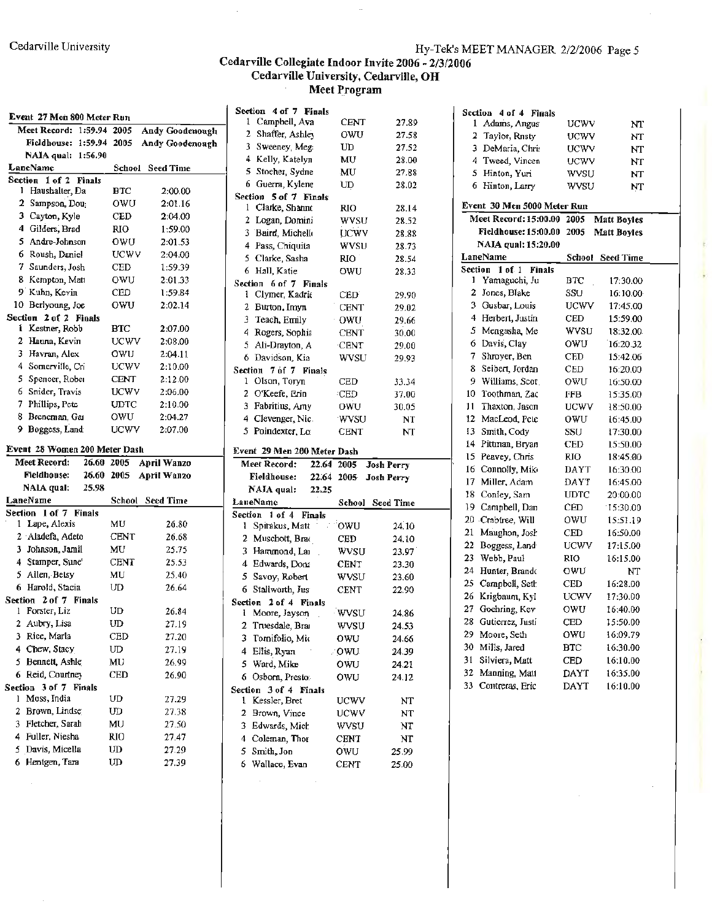#### Cedarville Collegiate Indoor Invite 2006 - 2/3/2006 Cedarville University, Cedarville, **OH Meet Program**

|                                  |             |                         | Section 4 of 7 Finals                   |             |                   | Section 4 of 4 Finals                    |                         |                         |
|----------------------------------|-------------|-------------------------|-----------------------------------------|-------------|-------------------|------------------------------------------|-------------------------|-------------------------|
| Event 27 Men 800 Meter Run       |             |                         | 1 Campbell, Ava                         | <b>CENT</b> | 27.89             | 1 Adams, Angus                           | UCWV                    | NT                      |
| Meet Record: 1:59.94 2005        |             | Andy Goodenough         | 2 Shaffer, Ashley                       | OWU         | 27.58             | 2 Taylor, Rnsty                          | <b>UCWV</b>             | NT                      |
| Fieldhouse: 1:59.94 2005         |             | <b>Andy Goodenough</b>  | 3 Sweeney, Meg.                         | UD          | 27.52             | 3 DeMaria, Chris                         | UCWV                    | NT                      |
| NAIA qual: 1:56.90<br>LaneName   |             | <b>School</b> Seed Time | 4 Kelly, Katelyn                        | MU          | 28.00             | 4 Tweed, Vincen                          | UCWV                    | NΤ                      |
| Section 1 of 2 Finals            |             |                         | 5 Stocher, Sydne                        | MU          | 27.88             | 5 Hinton, Yuri                           | wvsu                    | <b>NT</b>               |
| 1 Haushalter, Da                 | <b>BIC</b>  | 2:00.00                 | 6 Guerra, Kylene                        | UD          | 28.02             | 6 Hinton, Larry                          | WVSU                    | NT                      |
| 2 Sampson, Dou <sub>i</sub>      | owu         | 2:01.16                 | Section 5 of 7 Finals                   |             |                   | Event 30 Men 5000 Meter Run              |                         |                         |
| 3 Cayton, Kyle                   | CED         | 2:04.00                 | 1 Clarke, Shanne                        | RIO         | 28.14             | Meet Record: 15:00.00 2005               |                         |                         |
| 4 Gilders, Brad                  | <b>RIO</b>  | 1:59.00                 | 2 Logan, Domini                         | <b>WVSU</b> | 28.52             |                                          |                         | <b>Matt Boyles</b>      |
| 5 Andre-Johnson                  | owu         | 2:01.53                 | 3 Baird, Michello                       | <b>UCWV</b> | 28.88             | Fieldhouse: 15:00.00 2005                |                         | <b>Matt Boyles</b>      |
| 6 Roush, Daniel                  | <b>UCWV</b> | 2:04.00                 | 4 Pass, Chiquita                        | wvsu        | 28.73             | NAIA qual: 15:20.00                      |                         |                         |
| 7 Saunders, Josh                 | CED         | 1:59.39                 | 5 Clarke, Sasha                         | <b>RIO</b>  | 28.54             | LaneName                                 |                         | <b>School</b> Seed Time |
| 8 Kempton, Mati                  | <b>OWU</b>  | 2:01.33                 | 6 Hall, Katie                           | owu         | 28.33             | Section 1 of 1 Finals<br>1 Yamaguchi, Ju | <b>BTC</b>              | 17:30.00                |
| 9 Kuhn, Kevin                    | <b>CED</b>  | 1:59.84                 | Section 6 of 7 Finals                   |             |                   | 2 Jones, Blake                           | SSU                     | 16:10.00                |
| 10 Berlyoung, Joe                | owu         | 2:02.14                 | 1 Clymer, Kadrie                        | <b>CED</b>  | 29.90             | 3 Gusbar, Louis                          | UCWV                    | 17:45.00                |
| Section 2 of 2 Finals            |             |                         | 2 Burton, Imyn                          | <b>CENT</b> | 29.02             | 4 Herbert, Justin                        | CED                     | 15:59.00                |
| i Kestner, Robb                  | <b>BTC</b>  | 2:07.00                 | 3 Teach, Emily                          | OWU         | 29.66             | 5 Mengasha, Me                           | WVSU                    | 18:32.00                |
| 2 Hauna, Kevin                   | <b>UCWV</b> | 2:08.00                 | 4 Rogers, Sophia                        | <b>CENT</b> | 30.00             | 6 Davis, Clay                            | OWU                     |                         |
| 3 Havran, Alex                   | OWU         | 2:04.11                 | 5 Ali-Drayton, A                        | <b>CENT</b> | 29.00             | 7.<br>Shrover, Ben                       | CED                     | 16:20.32                |
| 4 Somerville, Cri                | UCWV        | 2:10.00                 | 6 Davidson, Kia                         | <b>WVSU</b> | 29.93             | 8 Seibert, Jordan                        | CED                     | 15:42.06                |
| 5 Spencer, Rober                 | <b>CENT</b> | 2:12.00                 | Section 7 of 7 Finals<br>1 Olson, Toryn | CED         | 33.34             | 9 Williams, Scot.                        | owu                     | 16:20.00                |
| 6 Snider, Travis                 | <b>UCWV</b> | 2:06.00                 | 2 O'Keefe, Erin                         | CED         | 37.00             | 10 Toothman, Zac                         | FFB                     | 16:50.00<br>15:35.00    |
| 7 Phillips, Pete                 | <b>UDTC</b> | 2:10.00                 | 3 Fabritius, Amy                        | OWU         | 30.05             | 11<br>Thaxton, Jason                     | UCWV                    | 18:50.00                |
| 8 Breneman, Gai                  | owu         | 2:04.27                 | 4 Clevenger, Nic.                       | wysu        |                   | 12 MacLeod, Pete                         | OWU                     |                         |
| 9 Boggess, Land                  | <b>UCWV</b> | 2:07.00                 | 5 Poindexter, Lo                        | <b>CENT</b> | NT<br>NT          | 13 Smith, Cody                           | SSU                     | 16:45.00<br>17:30.00    |
|                                  |             |                         |                                         |             |                   | 14 Pittman, Bryan                        | <b>CED</b>              | 15:50.00                |
| Event 28 Women 200 Meter Dash    |             |                         | Event 29 Men 200 Meter Dash             |             |                   | 15 Peavey, Chris                         | <b>RIO</b>              | 18:45.00                |
| Meet Record:<br>26.60 2005       |             | <b>April Wanzo</b>      | Meet Record:                            | 22.64 2005  | <b>Josh Perry</b> | 16 Connolly, Mik-                        | DAYT                    | 16:30.00                |
| <b>Fieldhouse:</b><br>26.60 2005 |             | April Wanzo             | Fieldhouse:                             | 22.64 2005  | Josh Perry        | 17 Miller, Adam                          | DAYT                    | 16:45.00                |
| NALA qual:<br>25.98              |             |                         | NAJA qual:                              | 22.25       |                   | 18 Conley, Sam                           | <b>UDTC</b>             | 20:00.00                |
| LaneName                         |             | School Seed Time        | LaneName                                |             | School Seed Time  | 19.<br>Campbell, Dan                     | CED                     | 15:30.00                |
| Section 1 of 7 Finals            |             |                         | Section 1 of 4 Finals                   |             |                   | 20 Crabiree, Will                        | OWU                     | 15:51.19                |
| 1 Lape, Alexis                   | MU          | 26.80                   | Spitakus, Matt                          | 'OWU        | 24.10             | 21 Maughon, Josh                         | <b>CED</b>              | 16:50.00                |
| 2 Aladefa, Adeto                 | <b>CENT</b> | 26.68                   | 2 Muschott, Brac                        | <b>CED</b>  | 24.10             | 22<br>Boggess, Land                      | <b>UCWV</b>             | 17:15.00                |
| 3 Johnson, Jamil                 | MU          | 25.75                   | 3 Hammond, Lai                          | <b>WVSU</b> | 23.97             | Webb, Paul<br>23                         | RIO                     | 16:15.00                |
| 4 Stamper, Sune <sup>1</sup>     | <b>CENT</b> | 25.53                   | 4 Edwards, Donz                         | <b>CENT</b> | 23.30             | 24 Hunter, Brando                        | OWU                     | NT                      |
| 5 Allen, Betsy                   | MU          | 25.40                   | 5 Savoy, Robert                         | WVSU        | 23.60             | 25.<br>Campbell, Seth                    | $\mathop{\mathrm{CED}}$ | 16:28.00                |
| 6 Harold, Stacia                 | UD          | 26.64                   | 6 Stallworth, Jus                       | <b>CENT</b> | 22.90             | 26 Krigbaum, Kyl                         | UCWV                    | 17:30.00                |
| Section 2 of 7 Finals            |             |                         | Section 2 of 4 Finals                   |             |                   | 27 Goehring, Kev                         | OWU                     | 16:40.00                |
| 1 Forster, Liz                   | UD          | 26.84                   | 1 Moore, Jayson                         | <b>WVSU</b> | 24.86             | 28 Gutierrez, Justi                      | $_{\rm CED}$            |                         |
| 2 Aubry, Lisa                    | ${\rm UD}$  | 27.19                   | 2 Truesdale, Brai                       | wysu        | 24.53             | 29 Moore, Seth                           | owu                     | 15:50.00<br>16:09.79    |
| 3 Rice, Marla                    | <b>CED</b>  | 27.20                   | Tomifolio, Mio<br>3.                    | owu         | 24.66             | 30 Mills, Jared                          | $_{\rm BTC}$            | 16:30.00                |
| 4 Chew, Stacy                    | ${\rm UD}$  | 27.19                   | 4 Ellis, Ryan                           | . OWU       | 24.39             | 31 Silviera, Matt                        |                         |                         |
| 5 Bennett, Ashle                 | MU          | 26.99                   | 5 Ward, Mike                            | OWU         | 24.21             |                                          | CED                     | 16:10.00                |
| 6 Reid, Courtney                 | CED         | 26.90                   | 6 Osborn, Presto.                       | OWU         | 24.12             | 32 Manning, Matt                         | DAYT                    | 16:35.00                |
| Section 3 of 7 Finals            |             |                         | Section 3 of 4 Finals                   |             |                   | 33 Contreras, Eric                       | DAYT                    | 16:10.00                |
| 1 Moss, India                    | ${\bf UD}$  | 27.29                   | 1 Kessler, Bret                         | <b>UCWV</b> | NT                |                                          |                         |                         |
| 2 Brown, Lindse                  | UD          | 27.38                   | 2 Brown, Vince                          | <b>UCWV</b> | NT                |                                          |                         |                         |
| 3 Fletcher, Sarah                | MU          | 27.50                   | 3 Edwards, Mich                         | WVSU        | NT                |                                          |                         |                         |
| 4 Fuller, Niesha                 | <b>RIO</b>  | 27.47                   | 4 Coleman, Thor                         | <b>CENT</b> | NT                |                                          |                         |                         |
| 5 Davis, Micella                 | ${\rm UD}$  | 27.29                   | 5.<br>Smith, Jon                        | OWU         | 25.99             |                                          |                         |                         |
| 6 Hentgen, Tara                  | $U\!D$      | 27.39                   | 6 Wallace, Evan                         | <b>CENT</b> | 25.00             |                                          |                         |                         |

|             | 1 Campbell, Ava                         | CENT                  | 27.89             |
|-------------|-----------------------------------------|-----------------------|-------------------|
|             | 2 Shaffer, Ashley                       | 0WU.                  | 27.58             |
|             | 3 Sweeney, Meg:                         | UD                    | 27.52             |
|             | 4 Kelly, Katelyn                        | MU                    | 28.00             |
|             | 5 Stocher, Sydne                        | MU                    | 27.88             |
|             | 6 Guerra, Kylene                        | UD                    | 28.02             |
| 1           | Section 5 of 7 Finals<br>Clarke, Shanno | RIO                   |                   |
|             | 2 Logan, Domini                         | wysu                  | 28.14             |
|             | 3 Baird, Michello                       |                       | 28.52             |
|             |                                         | UCWV                  | 28.88             |
|             | 4 Pass, Chiquita<br>5 Clarke, Sasha     | wysu<br>$_{\rm RIO}$  | 28.73             |
|             | 6 Hall, Katie                           |                       | 28.54             |
|             | Section 6 of 7 Finals                   | OWU                   | 28.33             |
| ı           | Clymer, Kadrie                          | $\mathbf{CED}^-$      | 29.90             |
|             | 2 Burton, Imyn                          | <b>CENT</b>           | 29.02             |
|             | 3 Teach, Emily                          | OWU                   | 29.66             |
|             | 4 Rogers, Sophia                        | <b>CENT</b>           | 30.00             |
|             | 5 Ali-Drayton, A                        | <b>CENT</b>           | 29.00             |
|             | 6 Davidson, Kia                         | wysu                  | 29.93             |
| Section     | 7 of 7 Finals                           |                       |                   |
|             | 1 Olson, Toryn                          | CED                   | 33.34             |
|             | 2 O'Keefe, Erin                         | CED                   | 37.00             |
| 3.          | Fabritius, Amy                          | OWU                   | 30.05             |
|             | 4 Clevenger, Nic.                       | WVSU                  | NT                |
|             | 5 Poindexter, Lo.                       | CENT                  | NT                |
|             |                                         |                       |                   |
|             |                                         |                       |                   |
|             | Event 29 Men 200 Meter Dash             |                       |                   |
|             | Meet Record:                            | 22.64 2005            | <b>Josh Perry</b> |
|             | Fieldhouse:                             | 22.64 2005 Josh Perry |                   |
|             | NAJA qual:<br>22.25                     |                       |                   |
|             | aneName                                 |                       | School Seed Time  |
|             | Section 1 of 4 Finals                   |                       |                   |
|             | 1 Spitakus, Matt                        | OWU                   | 24.10             |
|             | 2 Muschott, Brac                        | CED.                  | 24.10             |
|             | 3 Hammond, Lai                          | wvsu                  | 23.97             |
|             | 4 Edwards, Donz                         | <b>CENT</b>           | 23.30             |
|             | 5 Savoy, Robert                         | WVSU                  | 23.60             |
|             | 6 Stallworth, Jus                       | <b>CENT</b>           | 22.90             |
|             | ection 2 of 4 Finals                    |                       |                   |
| 1           | Moore, Jayson                           | WVSU                  | 24.86             |
|             | 2 Truesdale, Brai                       | <b>WVSU</b>           | 24.53             |
|             | 3 Tomifolio, Mic                        | OWU                   | 24.66             |
|             | 4 Ellis, Ryan                           | . OWU                 | 24.39             |
| 5.          | Ward, Mike                              | OWU                   | 24.21             |
| 6.          | Osborn, Presto:                         | owu                   | 24.12             |
|             | ection 3 of 4 Finals                    |                       |                   |
| $\mathbf 1$ | Kessler, Bret                           | UCWV                  | NT                |
| 2           | Brown, Vince                            | UCWV                  | NT                |
| 3.          | Edwards, Mich                           | wysu                  | NT                |
| 4           | Coleman, Thor                           | <b>CENT</b>           | NT                |
| 5.          | Smith, Jon                              | OWU                   | 25.99             |
| 6           | Wallace, Evan                           | <b>CENT</b>           | 25.00             |

| Section<br>4 of 4<br><b>Finals</b> |              |                    |
|------------------------------------|--------------|--------------------|
| Adams, Angus<br>1                  | ucwv         | NT                 |
| 2<br>Taylor, Rnsty                 | UCWV         | NT                 |
| DeMaria, Chris<br>3                | UCWV         | NT                 |
| 4 Tweed, Vincen                    | UCWV         | NΤ                 |
| 5.<br>Hinton, Yuri                 | wvsu         | NT                 |
| 6<br>Hinton, Larry                 | wysu         | ŅΤ                 |
| Event 30 Men 5000 Meter Run        |              |                    |
| Meet Record: 15:00.00 2005         |              | <b>Matt Boyles</b> |
| Fieldhouse: 15:00.00               | 2005         | <b>Matt Boyles</b> |
| NAIA qual: 15:20.00                |              |                    |
| LaneName                           | School       | <b>Seed Time</b>   |
| Section<br>1 of 1<br><b>Finals</b> |              |                    |
| ı<br>Yamaguchi, Ju                 | втс          | 17:30.00           |
| 2<br>Jones, Blake                  | SSU          | 16:10.00           |
| 3<br>Gusbar, Louis                 | UCWV         | 17:45.00           |
| 4<br>Herbert, Justin               | CED          | 15:59.00           |
| 5<br>Mengasha, Me                  | WVSU         | 18:32.00           |
| 6<br>Davis, Clay                   | OWU          | 16:20.32           |
| 7<br>Shroyer, Ben                  | CED          | 15:42.06           |
| 8<br>Seibert, Jordan               | CED          | 16:20.00           |
| 9<br>Williams, Scot.               | OWU          | 16:50.00           |
| 10<br>Toothman, Zac                | FFB          | 15:35.00           |
| Thaxton, Jason<br>11               | UCWV         | 18:50.00           |
| 12.<br>MacLeod, Pete               | owu          | 16:45.00           |
| 13<br>Smith, Cody                  | SSU          | 17:30.00           |
| 14<br>Pittman, Bryan               | CED          | 15:50.00           |
| 15<br>Peavey, Chris                | <b>RIQ</b>   | 18:45.00           |
| 16<br>Connolly, Mik-               | DAYT         | 16:30.00           |
| Miller, Adam<br>17.                | DAYT         | 16:45.00           |
| 18<br>Conley, Sam                  | UDTC         | 20:00.00           |
| 19.<br>Campbell, Dan               | CED          | 15:30.00           |
| 20 Crabtree, Will                  | owu          | 15:51.19           |
| 21<br>Maughon, Josh                | CED          | 16:50.00           |
| 22.<br>Boggess, Land               | UCWV         | 17:15.00           |
| 23<br>Webb, Paul                   | RIO          | 16:15.00           |
| 24<br>Hunter, Brando               | owu          | NT                 |
| 25<br>Campbell, Seth               | $_{\rm CED}$ | 16:28.00           |
| 26<br>Krigbaum, Kyl                | UCWV         | 17:30.00           |
| 27<br>Goehring, Kev                | owu          | 16:40.00           |
| 28.<br>Gutierrez, Justi            | CED.         | 15:50.00           |
| 29<br>Moore, Seth                  | owu          | 16:09.79           |
| 30<br>Mills, Jared                 | втс          | 16:30.00           |
| 31<br>Silviera, Matt               | CED          | 16:10.00           |
| 32<br>Manning, Matt                | <b>DAYT</b>  | 16:35.00           |
| 33<br>Contreras, Eric              | <b>DAYT</b>  | 16:10.00           |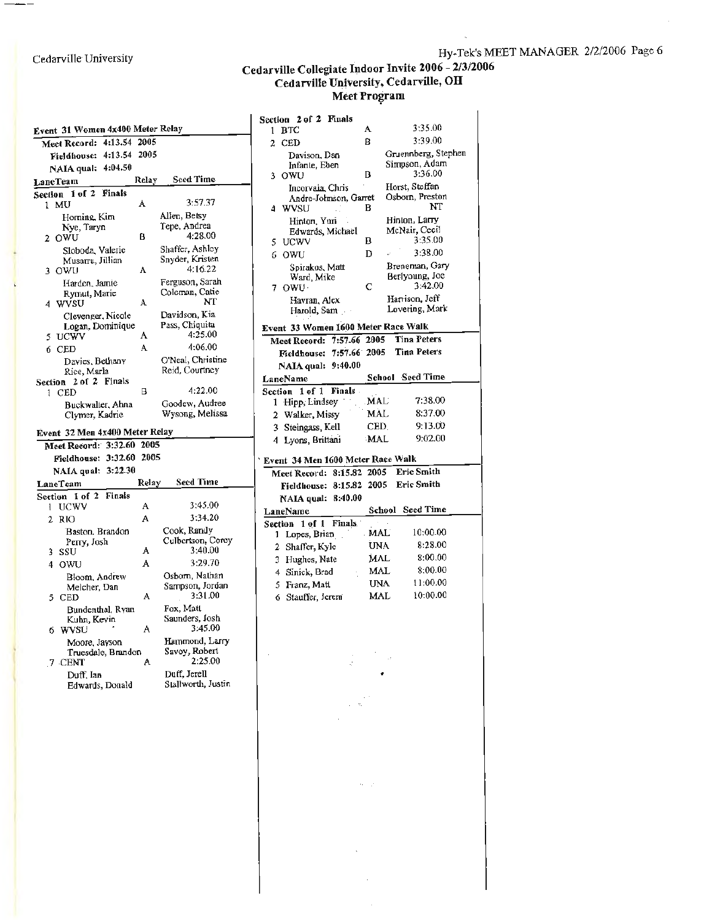Cedarville University

—  $-$ 

÷.

#### **Cedarville Collegiate ~door Invite 2006** - **2/3/2006 Cedarville University, Cedarville, OH Meet Proiram**

| Event 31 Women 4x400 Meter Relay |                                 |        |                                     |
|----------------------------------|---------------------------------|--------|-------------------------------------|
|                                  | 4:13.54<br>Meet Record:         | 2005   |                                     |
|                                  | 4:13.54<br><b>Fieldhouse:</b>   | 2005   |                                     |
|                                  | 4:04.50<br>NAIA qual:           |        |                                     |
|                                  | LaneTeam                        | Relay  | <b>Seed Time</b>                    |
| <b>Section</b>                   | 1 of 2<br>Finals                |        |                                     |
| 1                                | МU                              | A      | 3:57.37                             |
|                                  | Horning, Kim                    |        | Allen, Betsy<br>Tepe, Andrea        |
| $\mathbf{2}$                     | Nye, Taryn<br>OWU               | в      | 4:28.00                             |
|                                  | Sloboda, Valerie                |        | Shaffer, Ashley                     |
|                                  | Musarra, Jillian                |        | Snyder, Kristen                     |
| 3                                | OWU                             | A      | 4:16.22                             |
|                                  | Harden, Jamie                   |        | Ferguson, Sarah<br>Coleman, Catie   |
| 4                                | Rymut, Marie<br>WVSU            | A      | NT                                  |
|                                  | Clevenger, Nicole               |        | Davidson, Kia                       |
|                                  | Logan, Dominique                |        | Pass, Chiquita                      |
| 5                                | <b>UCWV</b>                     | A      | 4:25.00                             |
| 6                                | <b>CED</b>                      | A      | 4:06.00                             |
|                                  | Davies, Bethany                 |        | O'Neal, Christine<br>Reid, Courtney |
| Section                          | Rice, Marla<br>2 of 2 Finals    |        |                                     |
| 1                                | CED                             | В      | 4:22.00                             |
|                                  | Buckwalter, Ahna                |        | Goodew, Audree                      |
|                                  | Clymer, Kadrie                  |        | Wysong, Melissa                     |
|                                  | Event 32 Men 4x400 Meter Relay  |        |                                     |
|                                  | 3:32.60<br>Meet Record:         | 2005   |                                     |
|                                  | 3:32.60<br>Fieldhouse:          | 2005   |                                     |
|                                  | 3:22.30<br>NAIA qual:           |        |                                     |
|                                  | LaneTcam                        | Relay  | <b>Seed Time</b>                    |
|                                  | Section $1$ of $2$<br>Finals    |        | 3:45.00                             |
| ł                                | <b>UCWV</b>                     | A<br>A | 3:34.20                             |
| $\mathbf{2}^-$                   | RIO                             |        |                                     |
|                                  | Baston, Brandon<br>Perry, Josh  |        | Cook, Randy<br>Culbertson, Corey    |
| 3                                | SSU                             | A      | 3:40.00                             |
| 4                                | OWU                             | A      | 3:29.70                             |
|                                  | Bloom, Andrew                   |        | Osborn, Nathan                      |
|                                  | Meicher, Dan                    |        | Sampson, Jordan<br>3:31.00          |
| 5                                | <b>CED</b>                      | A      |                                     |
|                                  | Bundenthal, Ryan<br>Kuhn, Kevin |        | Fox, Matt<br>Saunders, Josh         |
| 6                                | <b>WVSU</b>                     | A      | 3:45.00                             |
|                                  | Moore, Jayson                   |        | Hammond, Larry                      |
|                                  | Truesdale, Brandon              |        | Savoy, Robert                       |
|                                  | 7 CENT                          | А      | 2:25.00                             |
|                                  | Duff, Ian<br>Edwards, Donald    |        | Duff, Jerell<br>Stallworth, Justin  |
|                                  |                                 |        |                                     |

|                | Section 2 of 2 Finals               |            |                                |
|----------------|-------------------------------------|------------|--------------------------------|
| 1              | <b>BTC</b>                          | A          | 3:35.00                        |
| $\overline{2}$ | CED                                 | Ŕ          | 3:39.00                        |
|                | Davison, Dan                        |            | Gruennberg, Stephen            |
|                | Infante, Eben                       |            | Simoson, Adam                  |
| 3              | OWU                                 | B          | 3:36.00                        |
|                | Incorvaia Chris                     |            | Horst, Steffan                 |
|                | Andre-Johnson, Garret               |            | Osborn, Preston<br>NT          |
| 4              | <b>WVSU</b>                         | в          |                                |
|                | Hinton, Yuri                        |            | Hinton, Larry<br>McNair, Cecil |
| 5.             | Edwards, Michael<br><b>UCWV</b>     | В          | 3:35.00                        |
| 6              | OWU                                 | D          | 3:38.00                        |
|                |                                     |            | Breneman, Gary                 |
|                | Spirakus, Matt<br>Ward, Mike        |            | Berlyoung, Joe                 |
|                | 7 OWU -                             | C          | 3:42.00                        |
|                | Havran, Alex                        |            | Harrison, Jeff                 |
|                | Harold, Sam                         |            | Lovering, Mark                 |
|                | Event 33 Women 1600 Meter Race Walk |            |                                |
|                | Meet Record: 7:57.66 2005           |            | <b>Tina Peters</b>             |
|                | 7:57.66 2005<br>Fieldhouse:         |            | <b>Tina Peters</b>             |
|                | 9:40.00<br>NAIA qual:               |            |                                |
|                | LaneName                            |            | School Seed Time               |
|                | Section 1 of 1<br>Finals -          |            |                                |
| 1              | Hipp, Lindsey                       | <b>MAL</b> | 7:38.00                        |
|                | 2 Walker, Missy                     | MAL        | 8:37.00                        |
|                | 3 Steingass, Kell                   | <b>CED</b> | 9:13.00                        |
| 4.             | Lyons, Brittani                     | MAL        | 9:02.00                        |
|                |                                     |            |                                |
|                | Event 34 Men 1600 Meter Race Walk   |            | <b>Eric Smith</b>              |
|                | Meet Record: 8:15.82 2005           |            |                                |
|                | Fieldhouse: 8:15.82                 |            | 2005 Eric Smith                |
|                | NAIA qual: 8:40.00                  |            |                                |
|                | LaneName                            | School     | <b>Seed Time</b>               |
|                | 1 of 1 Finals<br>Section            | MAL        | 10:00.00                       |
| 1              | Lopes, Brian                        | UNA        | 8:28.00                        |
|                | 2 Shaffer, Kyle                     | MAL        | 8:00.00                        |
|                | 3 Hughes, Nate                      | <b>MAL</b> | 8:00.00                        |
|                | 4 Sinick, Brad                      |            | 11:00.00                       |
|                | 5 Franz, Matt                       | <b>UNA</b> | 10:00.00                       |
|                | 6 Stauffer, Jerem                   | <b>MAL</b> |                                |
|                |                                     |            |                                |
|                |                                     |            |                                |
|                |                                     |            |                                |
|                |                                     |            |                                |
|                |                                     |            |                                |
|                |                                     |            |                                |
|                |                                     |            |                                |
|                |                                     |            |                                |

 $\bar{\gamma}$ 

 $\alpha=\beta$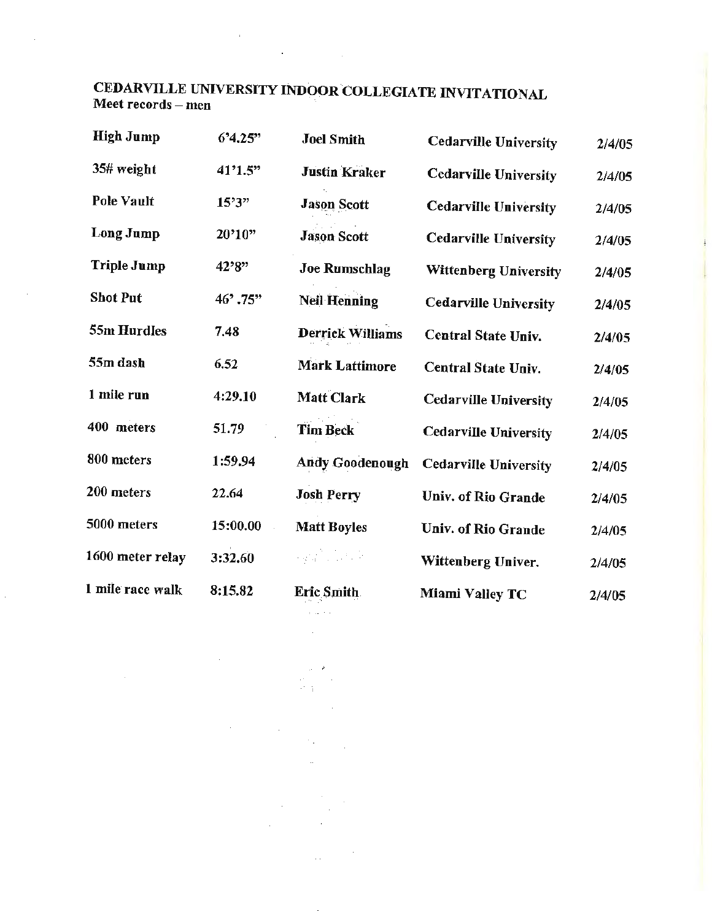#### CEDARVILLE UNIVERSITY INDOOR COLLEGIATE INVITATIONAL Meet records - men

 $\mathcal{A}=\{x_1,\ldots,x_n\}$  .

 $\bar{\alpha}$ 

 $\hat{\mathcal{L}}$ 

| <b>High Jump</b>   | 6'4.25"  | <b>Joel Smith</b>       | <b>Cedarville University</b> | 2/4/05 |
|--------------------|----------|-------------------------|------------------------------|--------|
| 35# weight         | 41'1.5"  | <b>Justin Kraker</b>    | <b>Cedarville University</b> | 2/4/05 |
| <b>Pole Vault</b>  | 15'3''   | <b>Jason Scott</b>      | <b>Cedarville University</b> | 2/4/05 |
| Long Jump          | 20'10"   | <b>Jason Scott</b>      | <b>Cedarville University</b> | 2/4/05 |
| <b>Triple Jump</b> | 42'8"    | <b>Joe Rumschlag</b>    | Wittenberg University        | 2/4/05 |
| <b>Shot Put</b>    | 46'.75"  | <b>Neil Henning</b>     | <b>Cedarville University</b> | 2/4/05 |
| 55m Hurdles        | 7.48     | <b>Derrick Williams</b> | <b>Central State Univ.</b>   | 2/4/05 |
| 55m dash           | 6.52     | <b>Mark Lattimore</b>   | <b>Central State Univ.</b>   | 2/4/05 |
| 1 mile run         | 4:29.10  | Matt Clark              | <b>Cedarville University</b> | 2/4/05 |
| 400 meters         | 51.79    | <b>Tim Beck</b>         | <b>Cedarville University</b> | 2/4/05 |
| 800 meters         | 1:59.94  | <b>Andy Goodenough</b>  | <b>Cedarville University</b> | 2/4/05 |
| 200 meters         | 22.64    | <b>Josh Perry</b>       | <b>Univ. of Rio Grande</b>   | 2/4/05 |
| 5000 meters        | 15:00.00 | <b>Matt Boyles</b>      | <b>Univ. of Rio Grande</b>   | 2/4/05 |
| 1600 meter relay   | 3:32.60  | 2월 12일 대                | Wittenberg Univer.           | 2/4/05 |
| I mile race walk   | 8:15.82  | <b>Eric Smith</b>       | Miami Valley TC              | 2/4/05 |
|                    |          | contract of the state   |                              |        |

 $\bar{\mathcal{L}}$  .

 $\bar{z}$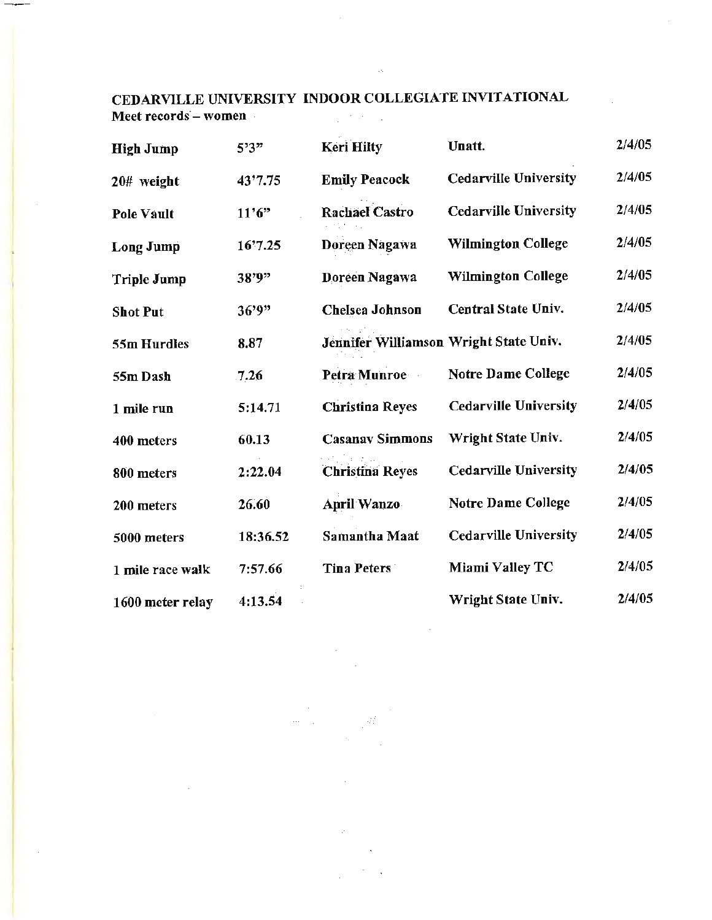#### CEDARVILLE UNIVERSITY INDOOR COLLEGIATE INVITATIONAL Meet records - women  $\mathcal{L}^{\text{max}}_{\text{max}}$  , where  $\mathcal{L}^{\text{max}}_{\text{max}}$

 $\mathcal{A}$ 

| <b>High Jump</b>   | 5'3"     | <b>Keri Hilty</b>                      | Unatt.                       | 2/4/05 |
|--------------------|----------|----------------------------------------|------------------------------|--------|
| 20# weight         | 43'7.75  | <b>Emily Peacock</b>                   | <b>Cedarville University</b> | 2/4/05 |
| <b>Pole Vault</b>  | 11'6''   | <b>Rachael Castro</b>                  | <b>Cedarville University</b> | 2/4/05 |
| <b>Long Jump</b>   | 16'7.25  | Doreen Nagawa                          | <b>Wilmington College</b>    | 2/4/05 |
| <b>Triple Jump</b> | 38'9"    | Doreen Nagawa                          | <b>Wilmington College</b>    | 2/4/05 |
| <b>Shot Put</b>    | 36'9"    | Chelsea Johnson                        | Central State Univ.          | 2/4/05 |
| 55m Hurdles        | 8.87     | Jennifer Williamson Wright State Univ. |                              | 2/4/05 |
| 55m Dash           | 7.26     | Petra Munroe                           | <b>Notre Dame College</b>    | 2/4/05 |
| 1 mile run         | 5:14.71  | <b>Christina Reyes</b>                 | <b>Cedarville University</b> | 2/4/05 |
| 400 meters         | 60.13    | <b>Casanav Simmons</b>                 | Wright State Univ.           | 2/4/05 |
| 800 meters         | 2:22.04  | <b>Christina Reyes</b>                 | <b>Cedarville University</b> | 2/4/05 |
| 200 meters         | 26.60    | <b>April Wanzo</b>                     | <b>Notre Dame College</b>    | 2/4/05 |
| 5000 meters        | 18:36.52 | <b>Samantha Maat</b>                   | <b>Cedarville University</b> | 2/4/05 |
| 1 mile race walk   | 7:57.66  | <b>Tina Peters</b>                     | Miami Valley TC              | 2/4/05 |
| 1600 meter relay   | 4:13.54  |                                        | Wright State Univ.           | 2/4/05 |

Чĭ

 $\sim$   $\sim$  $\hat{\theta}^{(1)}=\hat{\theta}^{(1)}$